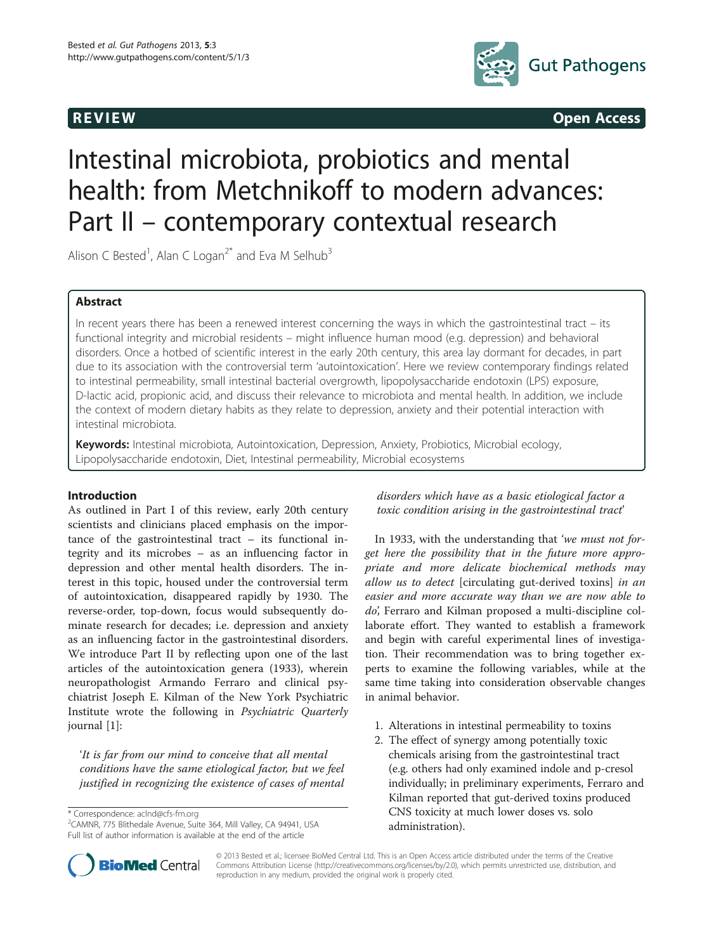

**REVIEW REVIEW CONSTRUCTER ACCESS** 

# Intestinal microbiota, probiotics and mental health: from Metchnikoff to modern advances: Part II – contemporary contextual research

Alison C Bested<sup>1</sup>, Alan C Logan<sup>2\*</sup> and Eva M Selhub<sup>3</sup>

# Abstract

In recent years there has been a renewed interest concerning the ways in which the gastrointestinal tract – its functional integrity and microbial residents – might influence human mood (e.g. depression) and behavioral disorders. Once a hotbed of scientific interest in the early 20th century, this area lay dormant for decades, in part due to its association with the controversial term 'autointoxication'. Here we review contemporary findings related to intestinal permeability, small intestinal bacterial overgrowth, lipopolysaccharide endotoxin (LPS) exposure, D-lactic acid, propionic acid, and discuss their relevance to microbiota and mental health. In addition, we include the context of modern dietary habits as they relate to depression, anxiety and their potential interaction with intestinal microbiota.

Keywords: Intestinal microbiota, Autointoxication, Depression, Anxiety, Probiotics, Microbial ecology, Lipopolysaccharide endotoxin, Diet, Intestinal permeability, Microbial ecosystems

# Introduction

As outlined in Part I of this review, early 20th century scientists and clinicians placed emphasis on the importance of the gastrointestinal tract – its functional integrity and its microbes – as an influencing factor in depression and other mental health disorders. The interest in this topic, housed under the controversial term of autointoxication, disappeared rapidly by 1930. The reverse-order, top-down, focus would subsequently dominate research for decades; i.e. depression and anxiety as an influencing factor in the gastrointestinal disorders. We introduce Part II by reflecting upon one of the last articles of the autointoxication genera (1933), wherein neuropathologist Armando Ferraro and clinical psychiatrist Joseph E. Kilman of the New York Psychiatric Institute wrote the following in Psychiatric Quarterly journal [[1\]](#page-8-0):

'It is far from our mind to conceive that all mental conditions have the same etiological factor, but we feel justified in recognizing the existence of cases of mental

\* Correspondence: [aclnd@cfs-fm.org](mailto:aclnd@cfs-fm.org) <sup>2</sup>

<sup>2</sup>CAMNR, 775 Blithedale Avenue, Suite 364, Mill Valley, CA 94941, USA Full list of author information is available at the end of the article

disorders which have as a basic etiological factor a toxic condition arising in the gastrointestinal tract'

In 1933, with the understanding that 'we must not forget here the possibility that in the future more appropriate and more delicate biochemical methods may allow us to detect [circulating gut-derived toxins] in an easier and more accurate way than we are now able to do', Ferraro and Kilman proposed a multi-discipline collaborate effort. They wanted to establish a framework and begin with careful experimental lines of investigation. Their recommendation was to bring together experts to examine the following variables, while at the same time taking into consideration observable changes in animal behavior.

- 1. Alterations in intestinal permeability to toxins
- 2. The effect of synergy among potentially toxic chemicals arising from the gastrointestinal tract (e.g. others had only examined indole and p-cresol individually; in preliminary experiments, Ferraro and Kilman reported that gut-derived toxins produced CNS toxicity at much lower doses vs. solo administration).



© 2013 Bested et al.; licensee BioMed Central Ltd. This is an Open Access article distributed under the terms of the Creative Commons Attribution License [\(http://creativecommons.org/licenses/by/2.0\)](http://creativecommons.org/licenses/by/2.0), which permits unrestricted use, distribution, and reproduction in any medium, provided the original work is properly cited.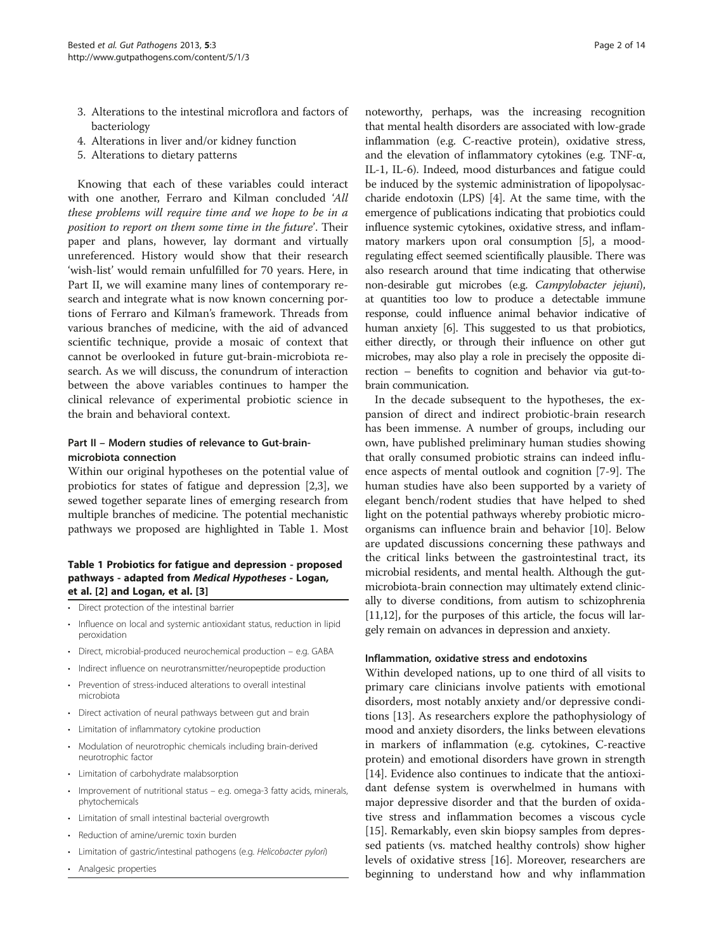- 3. Alterations to the intestinal microflora and factors of bacteriology
- 4. Alterations in liver and/or kidney function
- 5. Alterations to dietary patterns

Knowing that each of these variables could interact with one another, Ferraro and Kilman concluded 'All these problems will require time and we hope to be in a position to report on them some time in the future'. Their paper and plans, however, lay dormant and virtually unreferenced. History would show that their research 'wish-list' would remain unfulfilled for 70 years. Here, in Part II, we will examine many lines of contemporary research and integrate what is now known concerning portions of Ferraro and Kilman's framework. Threads from various branches of medicine, with the aid of advanced scientific technique, provide a mosaic of context that cannot be overlooked in future gut-brain-microbiota research. As we will discuss, the conundrum of interaction between the above variables continues to hamper the clinical relevance of experimental probiotic science in the brain and behavioral context.

# Part II – Modern studies of relevance to Gut-brainmicrobiota connection

Within our original hypotheses on the potential value of probiotics for states of fatigue and depression [[2,3\]](#page-8-0), we sewed together separate lines of emerging research from multiple branches of medicine. The potential mechanistic pathways we proposed are highlighted in Table 1. Most

## Table 1 Probiotics for fatigue and depression - proposed pathways - adapted from Medical Hypotheses - Logan, et al. [\[2](#page-8-0)] and Logan, et al. [\[3](#page-8-0)]

- Direct protection of the intestinal barrier
- Influence on local and systemic antioxidant status, reduction in lipid peroxidation
- Direct, microbial-produced neurochemical production e.g. GABA
- Indirect influence on neurotransmitter/neuropeptide production
- Prevention of stress-induced alterations to overall intestinal microbiota
- Direct activation of neural pathways between gut and brain
- Limitation of inflammatory cytokine production
- Modulation of neurotrophic chemicals including brain-derived neurotrophic factor
- Limitation of carbohydrate malabsorption
- Improvement of nutritional status e.g. omega-3 fatty acids, minerals, phytochemicals
- Limitation of small intestinal bacterial overgrowth
- Reduction of amine/uremic toxin burden
- Limitation of gastric/intestinal pathogens (e.g. Helicobacter pylori)
- Analgesic properties

noteworthy, perhaps, was the increasing recognition that mental health disorders are associated with low-grade inflammation (e.g. C-reactive protein), oxidative stress, and the elevation of inflammatory cytokines (e.g. TNF-α, IL-1, IL-6). Indeed, mood disturbances and fatigue could be induced by the systemic administration of lipopolysaccharide endotoxin (LPS) [\[4](#page-8-0)]. At the same time, with the emergence of publications indicating that probiotics could influence systemic cytokines, oxidative stress, and inflammatory markers upon oral consumption [\[5\]](#page-9-0), a moodregulating effect seemed scientifically plausible. There was also research around that time indicating that otherwise non-desirable gut microbes (e.g. Campylobacter jejuni), at quantities too low to produce a detectable immune response, could influence animal behavior indicative of human anxiety [[6](#page-9-0)]. This suggested to us that probiotics, either directly, or through their influence on other gut microbes, may also play a role in precisely the opposite direction – benefits to cognition and behavior via gut-tobrain communication.

In the decade subsequent to the hypotheses, the expansion of direct and indirect probiotic-brain research has been immense. A number of groups, including our own, have published preliminary human studies showing that orally consumed probiotic strains can indeed influence aspects of mental outlook and cognition [\[7](#page-9-0)-[9\]](#page-9-0). The human studies have also been supported by a variety of elegant bench/rodent studies that have helped to shed light on the potential pathways whereby probiotic microorganisms can influence brain and behavior [[10\]](#page-9-0). Below are updated discussions concerning these pathways and the critical links between the gastrointestinal tract, its microbial residents, and mental health. Although the gutmicrobiota-brain connection may ultimately extend clinically to diverse conditions, from autism to schizophrenia [[11](#page-9-0),[12](#page-9-0)], for the purposes of this article, the focus will largely remain on advances in depression and anxiety.

### Inflammation, oxidative stress and endotoxins

Within developed nations, up to one third of all visits to primary care clinicians involve patients with emotional disorders, most notably anxiety and/or depressive conditions [[13\]](#page-9-0). As researchers explore the pathophysiology of mood and anxiety disorders, the links between elevations in markers of inflammation (e.g. cytokines, C-reactive protein) and emotional disorders have grown in strength [[14\]](#page-9-0). Evidence also continues to indicate that the antioxidant defense system is overwhelmed in humans with major depressive disorder and that the burden of oxidative stress and inflammation becomes a viscous cycle [[15\]](#page-9-0). Remarkably, even skin biopsy samples from depressed patients (vs. matched healthy controls) show higher levels of oxidative stress [\[16](#page-9-0)]. Moreover, researchers are beginning to understand how and why inflammation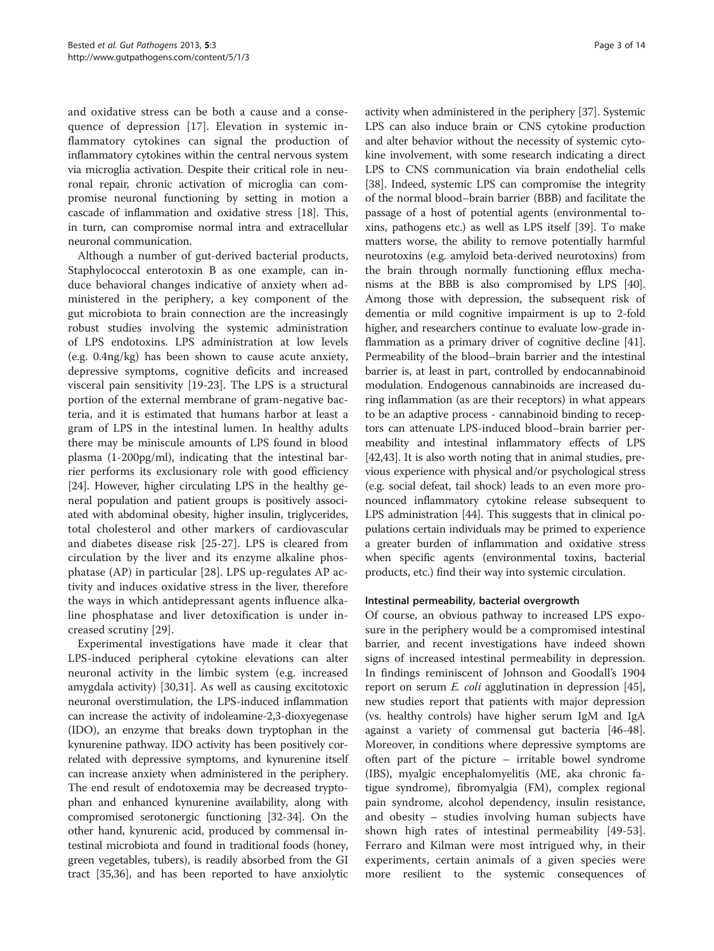and oxidative stress can be both a cause and a consequence of depression [[17](#page-9-0)]. Elevation in systemic inflammatory cytokines can signal the production of inflammatory cytokines within the central nervous system via microglia activation. Despite their critical role in neuronal repair, chronic activation of microglia can compromise neuronal functioning by setting in motion a cascade of inflammation and oxidative stress [\[18\]](#page-9-0). This, in turn, can compromise normal intra and extracellular neuronal communication.

Although a number of gut-derived bacterial products, Staphylococcal enterotoxin B as one example, can induce behavioral changes indicative of anxiety when administered in the periphery, a key component of the gut microbiota to brain connection are the increasingly robust studies involving the systemic administration of LPS endotoxins. LPS administration at low levels (e.g. 0.4ng/kg) has been shown to cause acute anxiety, depressive symptoms, cognitive deficits and increased visceral pain sensitivity [[19-23\]](#page-9-0). The LPS is a structural portion of the external membrane of gram-negative bacteria, and it is estimated that humans harbor at least a gram of LPS in the intestinal lumen. In healthy adults there may be miniscule amounts of LPS found in blood plasma (1-200pg/ml), indicating that the intestinal barrier performs its exclusionary role with good efficiency [[24](#page-9-0)]. However, higher circulating LPS in the healthy general population and patient groups is positively associated with abdominal obesity, higher insulin, triglycerides, total cholesterol and other markers of cardiovascular and diabetes disease risk [\[25](#page-9-0)-[27\]](#page-9-0). LPS is cleared from circulation by the liver and its enzyme alkaline phosphatase (AP) in particular [\[28\]](#page-9-0). LPS up-regulates AP activity and induces oxidative stress in the liver, therefore the ways in which antidepressant agents influence alkaline phosphatase and liver detoxification is under increased scrutiny [[29\]](#page-9-0).

Experimental investigations have made it clear that LPS-induced peripheral cytokine elevations can alter neuronal activity in the limbic system (e.g. increased amygdala activity) [[30,31\]](#page-9-0). As well as causing excitotoxic neuronal overstimulation, the LPS-induced inflammation can increase the activity of indoleamine-2,3-dioxyegenase (IDO), an enzyme that breaks down tryptophan in the kynurenine pathway. IDO activity has been positively correlated with depressive symptoms, and kynurenine itself can increase anxiety when administered in the periphery. The end result of endotoxemia may be decreased tryptophan and enhanced kynurenine availability, along with compromised serotonergic functioning [\[32-34\]](#page-9-0). On the other hand, kynurenic acid, produced by commensal intestinal microbiota and found in traditional foods (honey, green vegetables, tubers), is readily absorbed from the GI tract [\[35,36](#page-9-0)], and has been reported to have anxiolytic

activity when administered in the periphery [[37](#page-9-0)]. Systemic LPS can also induce brain or CNS cytokine production and alter behavior without the necessity of systemic cytokine involvement, with some research indicating a direct LPS to CNS communication via brain endothelial cells [[38](#page-9-0)]. Indeed, systemic LPS can compromise the integrity of the normal blood–brain barrier (BBB) and facilitate the passage of a host of potential agents (environmental toxins, pathogens etc.) as well as LPS itself [[39](#page-9-0)]. To make matters worse, the ability to remove potentially harmful neurotoxins (e.g. amyloid beta-derived neurotoxins) from the brain through normally functioning efflux mechanisms at the BBB is also compromised by LPS [[40](#page-9-0)]. Among those with depression, the subsequent risk of dementia or mild cognitive impairment is up to 2-fold higher, and researchers continue to evaluate low-grade in-flammation as a primary driver of cognitive decline [[41](#page-9-0)]. Permeability of the blood–brain barrier and the intestinal barrier is, at least in part, controlled by endocannabinoid modulation. Endogenous cannabinoids are increased during inflammation (as are their receptors) in what appears to be an adaptive process - cannabinoid binding to receptors can attenuate LPS-induced blood–brain barrier permeability and intestinal inflammatory effects of LPS [[42](#page-9-0),[43](#page-9-0)]. It is also worth noting that in animal studies, previous experience with physical and/or psychological stress (e.g. social defeat, tail shock) leads to an even more pronounced inflammatory cytokine release subsequent to LPS administration [\[44](#page-9-0)]. This suggests that in clinical populations certain individuals may be primed to experience a greater burden of inflammation and oxidative stress when specific agents (environmental toxins, bacterial products, etc.) find their way into systemic circulation.

### Intestinal permeability, bacterial overgrowth

Of course, an obvious pathway to increased LPS exposure in the periphery would be a compromised intestinal barrier, and recent investigations have indeed shown signs of increased intestinal permeability in depression. In findings reminiscent of Johnson and Goodall's 1904 report on serum *E. coli* agglutination in depression [\[45](#page-9-0)], new studies report that patients with major depression (vs. healthy controls) have higher serum IgM and IgA against a variety of commensal gut bacteria [\[46](#page-9-0)[-48](#page-10-0)]. Moreover, in conditions where depressive symptoms are often part of the picture – irritable bowel syndrome (IBS), myalgic encephalomyelitis (ME, aka chronic fatigue syndrome), fibromyalgia (FM), complex regional pain syndrome, alcohol dependency, insulin resistance, and obesity – studies involving human subjects have shown high rates of intestinal permeability [\[49-53](#page-10-0)]. Ferraro and Kilman were most intrigued why, in their experiments, certain animals of a given species were more resilient to the systemic consequences of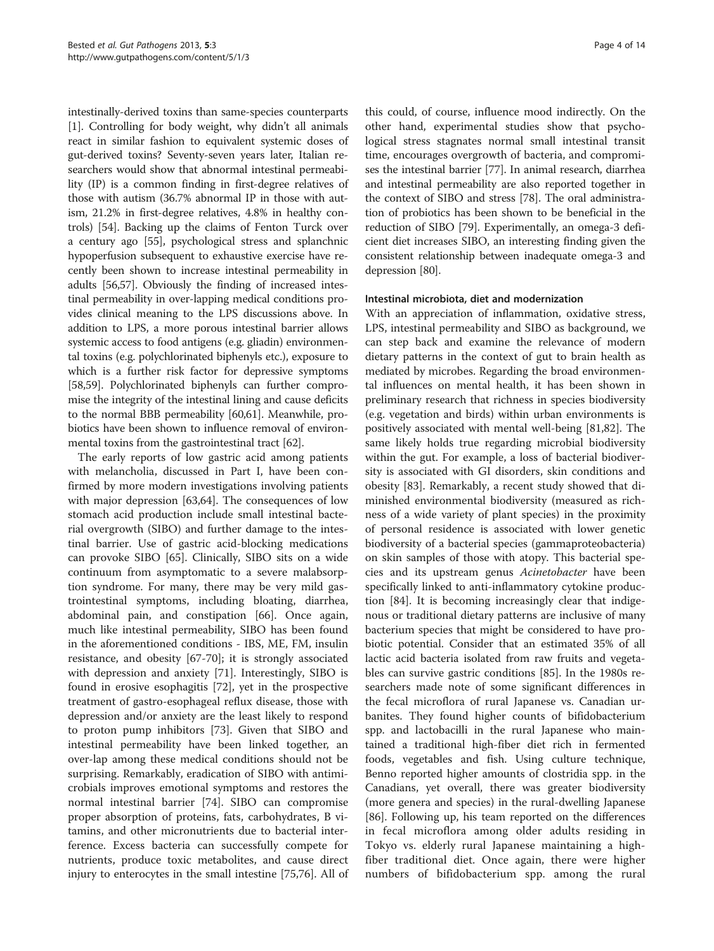intestinally-derived toxins than same-species counterparts [[1\]](#page-8-0). Controlling for body weight, why didn't all animals react in similar fashion to equivalent systemic doses of gut-derived toxins? Seventy-seven years later, Italian researchers would show that abnormal intestinal permeability (IP) is a common finding in first-degree relatives of those with autism (36.7% abnormal IP in those with autism, 21.2% in first-degree relatives, 4.8% in healthy controls) [[54\]](#page-10-0). Backing up the claims of Fenton Turck over a century ago [\[55\]](#page-10-0), psychological stress and splanchnic hypoperfusion subsequent to exhaustive exercise have recently been shown to increase intestinal permeability in adults [\[56,57\]](#page-10-0). Obviously the finding of increased intestinal permeability in over-lapping medical conditions provides clinical meaning to the LPS discussions above. In addition to LPS, a more porous intestinal barrier allows systemic access to food antigens (e.g. gliadin) environmental toxins (e.g. polychlorinated biphenyls etc.), exposure to which is a further risk factor for depressive symptoms [[58,59](#page-10-0)]. Polychlorinated biphenyls can further compromise the integrity of the intestinal lining and cause deficits to the normal BBB permeability [[60,61\]](#page-10-0). Meanwhile, probiotics have been shown to influence removal of environmental toxins from the gastrointestinal tract [[62\]](#page-10-0).

The early reports of low gastric acid among patients with melancholia, discussed in Part I, have been confirmed by more modern investigations involving patients with major depression [\[63,64\]](#page-10-0). The consequences of low stomach acid production include small intestinal bacterial overgrowth (SIBO) and further damage to the intestinal barrier. Use of gastric acid-blocking medications can provoke SIBO [\[65](#page-10-0)]. Clinically, SIBO sits on a wide continuum from asymptomatic to a severe malabsorption syndrome. For many, there may be very mild gastrointestinal symptoms, including bloating, diarrhea, abdominal pain, and constipation [[66\]](#page-10-0). Once again, much like intestinal permeability, SIBO has been found in the aforementioned conditions - IBS, ME, FM, insulin resistance, and obesity [[67](#page-10-0)-[70\]](#page-10-0); it is strongly associated with depression and anxiety [[71\]](#page-10-0). Interestingly, SIBO is found in erosive esophagitis [[72](#page-10-0)], yet in the prospective treatment of gastro-esophageal reflux disease, those with depression and/or anxiety are the least likely to respond to proton pump inhibitors [[73\]](#page-10-0). Given that SIBO and intestinal permeability have been linked together, an over-lap among these medical conditions should not be surprising. Remarkably, eradication of SIBO with antimicrobials improves emotional symptoms and restores the normal intestinal barrier [\[74](#page-10-0)]. SIBO can compromise proper absorption of proteins, fats, carbohydrates, B vitamins, and other micronutrients due to bacterial interference. Excess bacteria can successfully compete for nutrients, produce toxic metabolites, and cause direct injury to enterocytes in the small intestine [\[75,76\]](#page-10-0). All of

this could, of course, influence mood indirectly. On the other hand, experimental studies show that psychological stress stagnates normal small intestinal transit time, encourages overgrowth of bacteria, and compromises the intestinal barrier [[77](#page-10-0)]. In animal research, diarrhea and intestinal permeability are also reported together in the context of SIBO and stress [\[78](#page-10-0)]. The oral administration of probiotics has been shown to be beneficial in the reduction of SIBO [[79](#page-10-0)]. Experimentally, an omega-3 deficient diet increases SIBO, an interesting finding given the consistent relationship between inadequate omega-3 and depression [\[80\]](#page-10-0).

# Intestinal microbiota, diet and modernization

With an appreciation of inflammation, oxidative stress, LPS, intestinal permeability and SIBO as background, we can step back and examine the relevance of modern dietary patterns in the context of gut to brain health as mediated by microbes. Regarding the broad environmental influences on mental health, it has been shown in preliminary research that richness in species biodiversity (e.g. vegetation and birds) within urban environments is positively associated with mental well-being [\[81,82\]](#page-10-0). The same likely holds true regarding microbial biodiversity within the gut. For example, a loss of bacterial biodiversity is associated with GI disorders, skin conditions and obesity [[83\]](#page-10-0). Remarkably, a recent study showed that diminished environmental biodiversity (measured as richness of a wide variety of plant species) in the proximity of personal residence is associated with lower genetic biodiversity of a bacterial species (gammaproteobacteria) on skin samples of those with atopy. This bacterial species and its upstream genus Acinetobacter have been specifically linked to anti-inflammatory cytokine production [\[84](#page-10-0)]. It is becoming increasingly clear that indigenous or traditional dietary patterns are inclusive of many bacterium species that might be considered to have probiotic potential. Consider that an estimated 35% of all lactic acid bacteria isolated from raw fruits and vegetables can survive gastric conditions [\[85](#page-10-0)]. In the 1980s researchers made note of some significant differences in the fecal microflora of rural Japanese vs. Canadian urbanites. They found higher counts of bifidobacterium spp. and lactobacilli in the rural Japanese who maintained a traditional high-fiber diet rich in fermented foods, vegetables and fish. Using culture technique, Benno reported higher amounts of clostridia spp. in the Canadians, yet overall, there was greater biodiversity (more genera and species) in the rural-dwelling Japanese [[86\]](#page-10-0). Following up, his team reported on the differences in fecal microflora among older adults residing in Tokyo vs. elderly rural Japanese maintaining a highfiber traditional diet. Once again, there were higher numbers of bifidobacterium spp. among the rural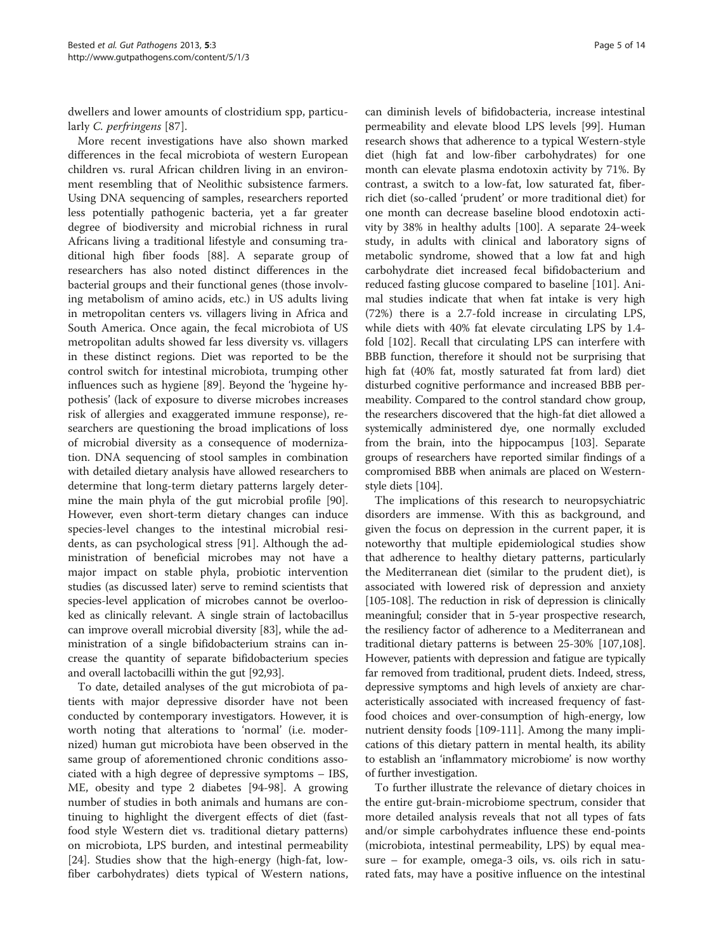dwellers and lower amounts of clostridium spp, particularly C. perfringens [[87\]](#page-11-0).

More recent investigations have also shown marked differences in the fecal microbiota of western European children vs. rural African children living in an environment resembling that of Neolithic subsistence farmers. Using DNA sequencing of samples, researchers reported less potentially pathogenic bacteria, yet a far greater degree of biodiversity and microbial richness in rural Africans living a traditional lifestyle and consuming traditional high fiber foods [\[88\]](#page-11-0). A separate group of researchers has also noted distinct differences in the bacterial groups and their functional genes (those involving metabolism of amino acids, etc.) in US adults living in metropolitan centers vs. villagers living in Africa and South America. Once again, the fecal microbiota of US metropolitan adults showed far less diversity vs. villagers in these distinct regions. Diet was reported to be the control switch for intestinal microbiota, trumping other influences such as hygiene [[89](#page-11-0)]. Beyond the 'hygeine hypothesis' (lack of exposure to diverse microbes increases risk of allergies and exaggerated immune response), researchers are questioning the broad implications of loss of microbial diversity as a consequence of modernization. DNA sequencing of stool samples in combination with detailed dietary analysis have allowed researchers to determine that long-term dietary patterns largely determine the main phyla of the gut microbial profile [\[90](#page-11-0)]. However, even short-term dietary changes can induce species-level changes to the intestinal microbial residents, as can psychological stress [[91\]](#page-11-0). Although the administration of beneficial microbes may not have a major impact on stable phyla, probiotic intervention studies (as discussed later) serve to remind scientists that species-level application of microbes cannot be overlooked as clinically relevant. A single strain of lactobacillus can improve overall microbial diversity [[83](#page-10-0)], while the administration of a single bifidobacterium strains can increase the quantity of separate bifidobacterium species and overall lactobacilli within the gut [[92,93\]](#page-11-0).

To date, detailed analyses of the gut microbiota of patients with major depressive disorder have not been conducted by contemporary investigators. However, it is worth noting that alterations to 'normal' (i.e. modernized) human gut microbiota have been observed in the same group of aforementioned chronic conditions associated with a high degree of depressive symptoms – IBS, ME, obesity and type 2 diabetes [\[94](#page-11-0)-[98\]](#page-11-0). A growing number of studies in both animals and humans are continuing to highlight the divergent effects of diet (fastfood style Western diet vs. traditional dietary patterns) on microbiota, LPS burden, and intestinal permeability [[24\]](#page-9-0). Studies show that the high-energy (high-fat, lowfiber carbohydrates) diets typical of Western nations,

can diminish levels of bifidobacteria, increase intestinal permeability and elevate blood LPS levels [\[99](#page-11-0)]. Human research shows that adherence to a typical Western-style diet (high fat and low-fiber carbohydrates) for one month can elevate plasma endotoxin activity by 71%. By contrast, a switch to a low-fat, low saturated fat, fiberrich diet (so-called 'prudent' or more traditional diet) for one month can decrease baseline blood endotoxin activity by 38% in healthy adults [[100\]](#page-11-0). A separate 24-week study, in adults with clinical and laboratory signs of metabolic syndrome, showed that a low fat and high carbohydrate diet increased fecal bifidobacterium and reduced fasting glucose compared to baseline [\[101\]](#page-11-0). Animal studies indicate that when fat intake is very high (72%) there is a 2.7-fold increase in circulating LPS, while diets with 40% fat elevate circulating LPS by 1.4 fold [\[102\]](#page-11-0). Recall that circulating LPS can interfere with BBB function, therefore it should not be surprising that high fat (40% fat, mostly saturated fat from lard) diet disturbed cognitive performance and increased BBB permeability. Compared to the control standard chow group, the researchers discovered that the high-fat diet allowed a systemically administered dye, one normally excluded from the brain, into the hippocampus [\[103\]](#page-11-0). Separate groups of researchers have reported similar findings of a compromised BBB when animals are placed on Westernstyle diets [[104](#page-11-0)].

The implications of this research to neuropsychiatric disorders are immense. With this as background, and given the focus on depression in the current paper, it is noteworthy that multiple epidemiological studies show that adherence to healthy dietary patterns, particularly the Mediterranean diet (similar to the prudent diet), is associated with lowered risk of depression and anxiety [[105](#page-11-0)-[108](#page-11-0)]. The reduction in risk of depression is clinically meaningful; consider that in 5-year prospective research, the resiliency factor of adherence to a Mediterranean and traditional dietary patterns is between 25-30% [\[107,108](#page-11-0)]. However, patients with depression and fatigue are typically far removed from traditional, prudent diets. Indeed, stress, depressive symptoms and high levels of anxiety are characteristically associated with increased frequency of fastfood choices and over-consumption of high-energy, low nutrient density foods [[109](#page-11-0)-[111](#page-11-0)]. Among the many implications of this dietary pattern in mental health, its ability to establish an 'inflammatory microbiome' is now worthy of further investigation.

To further illustrate the relevance of dietary choices in the entire gut-brain-microbiome spectrum, consider that more detailed analysis reveals that not all types of fats and/or simple carbohydrates influence these end-points (microbiota, intestinal permeability, LPS) by equal measure – for example, omega-3 oils, vs. oils rich in saturated fats, may have a positive influence on the intestinal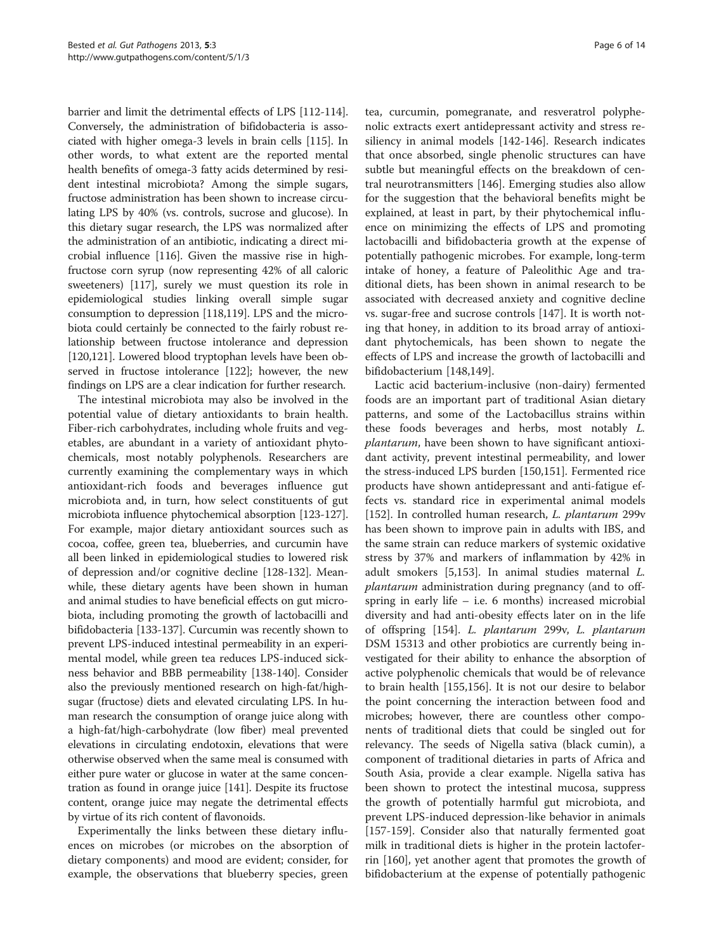barrier and limit the detrimental effects of LPS [\[112-114](#page-11-0)]. Conversely, the administration of bifidobacteria is associated with higher omega-3 levels in brain cells [[115](#page-11-0)]. In other words, to what extent are the reported mental health benefits of omega-3 fatty acids determined by resident intestinal microbiota? Among the simple sugars, fructose administration has been shown to increase circulating LPS by 40% (vs. controls, sucrose and glucose). In this dietary sugar research, the LPS was normalized after the administration of an antibiotic, indicating a direct microbial influence [[116](#page-11-0)]. Given the massive rise in highfructose corn syrup (now representing 42% of all caloric sweeteners) [[117](#page-11-0)], surely we must question its role in epidemiological studies linking overall simple sugar consumption to depression [\[118,119](#page-11-0)]. LPS and the microbiota could certainly be connected to the fairly robust relationship between fructose intolerance and depression [[120,121\]](#page-11-0). Lowered blood tryptophan levels have been observed in fructose intolerance [\[122](#page-11-0)]; however, the new findings on LPS are a clear indication for further research.

The intestinal microbiota may also be involved in the potential value of dietary antioxidants to brain health. Fiber-rich carbohydrates, including whole fruits and vegetables, are abundant in a variety of antioxidant phytochemicals, most notably polyphenols. Researchers are currently examining the complementary ways in which antioxidant-rich foods and beverages influence gut microbiota and, in turn, how select constituents of gut microbiota influence phytochemical absorption [\[123](#page-11-0)[-127](#page-12-0)]. For example, major dietary antioxidant sources such as cocoa, coffee, green tea, blueberries, and curcumin have all been linked in epidemiological studies to lowered risk of depression and/or cognitive decline [\[128-132\]](#page-12-0). Meanwhile, these dietary agents have been shown in human and animal studies to have beneficial effects on gut microbiota, including promoting the growth of lactobacilli and bifidobacteria [[133-137](#page-12-0)]. Curcumin was recently shown to prevent LPS-induced intestinal permeability in an experimental model, while green tea reduces LPS-induced sickness behavior and BBB permeability [[138](#page-12-0)-[140](#page-12-0)]. Consider also the previously mentioned research on high-fat/highsugar (fructose) diets and elevated circulating LPS. In human research the consumption of orange juice along with a high-fat/high-carbohydrate (low fiber) meal prevented elevations in circulating endotoxin, elevations that were otherwise observed when the same meal is consumed with either pure water or glucose in water at the same concentration as found in orange juice [\[141\]](#page-12-0). Despite its fructose content, orange juice may negate the detrimental effects by virtue of its rich content of flavonoids.

Experimentally the links between these dietary influences on microbes (or microbes on the absorption of dietary components) and mood are evident; consider, for example, the observations that blueberry species, green

tea, curcumin, pomegranate, and resveratrol polyphenolic extracts exert antidepressant activity and stress resiliency in animal models [[142](#page-12-0)-[146\]](#page-12-0). Research indicates that once absorbed, single phenolic structures can have subtle but meaningful effects on the breakdown of central neurotransmitters [\[146\]](#page-12-0). Emerging studies also allow for the suggestion that the behavioral benefits might be explained, at least in part, by their phytochemical influence on minimizing the effects of LPS and promoting lactobacilli and bifidobacteria growth at the expense of potentially pathogenic microbes. For example, long-term intake of honey, a feature of Paleolithic Age and traditional diets, has been shown in animal research to be associated with decreased anxiety and cognitive decline vs. sugar-free and sucrose controls [[147](#page-12-0)]. It is worth noting that honey, in addition to its broad array of antioxidant phytochemicals, has been shown to negate the effects of LPS and increase the growth of lactobacilli and bifidobacterium [\[148,149](#page-12-0)].

Lactic acid bacterium-inclusive (non-dairy) fermented foods are an important part of traditional Asian dietary patterns, and some of the Lactobacillus strains within these foods beverages and herbs, most notably L. plantarum, have been shown to have significant antioxidant activity, prevent intestinal permeability, and lower the stress-induced LPS burden [[150](#page-12-0),[151](#page-12-0)]. Fermented rice products have shown antidepressant and anti-fatigue effects vs. standard rice in experimental animal models [[152\]](#page-12-0). In controlled human research, L. plantarum 299v has been shown to improve pain in adults with IBS, and the same strain can reduce markers of systemic oxidative stress by 37% and markers of inflammation by 42% in adult smokers [\[5](#page-9-0)[,153\]](#page-12-0). In animal studies maternal L. plantarum administration during pregnancy (and to offspring in early life – i.e. 6 months) increased microbial diversity and had anti-obesity effects later on in the life of offspring [\[154\]](#page-12-0). L. plantarum 299v, L. plantarum DSM 15313 and other probiotics are currently being investigated for their ability to enhance the absorption of active polyphenolic chemicals that would be of relevance to brain health [\[155,156\]](#page-12-0). It is not our desire to belabor the point concerning the interaction between food and microbes; however, there are countless other components of traditional diets that could be singled out for relevancy. The seeds of Nigella sativa (black cumin), a component of traditional dietaries in parts of Africa and South Asia, provide a clear example. Nigella sativa has been shown to protect the intestinal mucosa, suppress the growth of potentially harmful gut microbiota, and prevent LPS-induced depression-like behavior in animals [[157-159\]](#page-12-0). Consider also that naturally fermented goat milk in traditional diets is higher in the protein lactoferrin [[160](#page-12-0)], yet another agent that promotes the growth of bifidobacterium at the expense of potentially pathogenic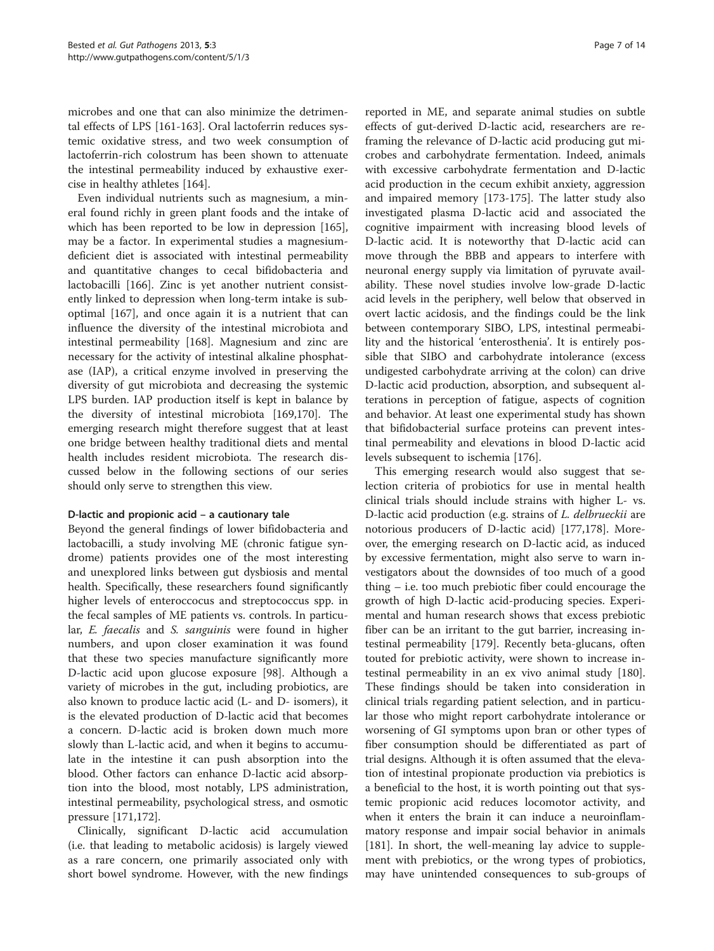microbes and one that can also minimize the detrimental effects of LPS [\[161](#page-12-0)-[163](#page-12-0)]. Oral lactoferrin reduces systemic oxidative stress, and two week consumption of lactoferrin-rich colostrum has been shown to attenuate the intestinal permeability induced by exhaustive exercise in healthy athletes [\[164](#page-12-0)].

Even individual nutrients such as magnesium, a mineral found richly in green plant foods and the intake of which has been reported to be low in depression [\[165](#page-12-0)], may be a factor. In experimental studies a magnesiumdeficient diet is associated with intestinal permeability and quantitative changes to cecal bifidobacteria and lactobacilli [\[166](#page-12-0)]. Zinc is yet another nutrient consistently linked to depression when long-term intake is suboptimal [\[167](#page-13-0)], and once again it is a nutrient that can influence the diversity of the intestinal microbiota and intestinal permeability [\[168\]](#page-13-0). Magnesium and zinc are necessary for the activity of intestinal alkaline phosphatase (IAP), a critical enzyme involved in preserving the diversity of gut microbiota and decreasing the systemic LPS burden. IAP production itself is kept in balance by the diversity of intestinal microbiota [[169](#page-13-0),[170](#page-13-0)]. The emerging research might therefore suggest that at least one bridge between healthy traditional diets and mental health includes resident microbiota. The research discussed below in the following sections of our series should only serve to strengthen this view.

# D-lactic and propionic acid – a cautionary tale

Beyond the general findings of lower bifidobacteria and lactobacilli, a study involving ME (chronic fatigue syndrome) patients provides one of the most interesting and unexplored links between gut dysbiosis and mental health. Specifically, these researchers found significantly higher levels of enteroccocus and streptococcus spp. in the fecal samples of ME patients vs. controls. In particular, E. faecalis and S. sanguinis were found in higher numbers, and upon closer examination it was found that these two species manufacture significantly more D-lactic acid upon glucose exposure [\[98](#page-11-0)]. Although a variety of microbes in the gut, including probiotics, are also known to produce lactic acid (L- and D- isomers), it is the elevated production of D-lactic acid that becomes a concern. D-lactic acid is broken down much more slowly than L-lactic acid, and when it begins to accumulate in the intestine it can push absorption into the blood. Other factors can enhance D-lactic acid absorption into the blood, most notably, LPS administration, intestinal permeability, psychological stress, and osmotic pressure [\[171,172\]](#page-13-0).

Clinically, significant D-lactic acid accumulation (i.e. that leading to metabolic acidosis) is largely viewed as a rare concern, one primarily associated only with short bowel syndrome. However, with the new findings

reported in ME, and separate animal studies on subtle effects of gut-derived D-lactic acid, researchers are reframing the relevance of D-lactic acid producing gut microbes and carbohydrate fermentation. Indeed, animals with excessive carbohydrate fermentation and D-lactic acid production in the cecum exhibit anxiety, aggression and impaired memory [[173-175\]](#page-13-0). The latter study also investigated plasma D-lactic acid and associated the cognitive impairment with increasing blood levels of D-lactic acid. It is noteworthy that D-lactic acid can move through the BBB and appears to interfere with neuronal energy supply via limitation of pyruvate availability. These novel studies involve low-grade D-lactic acid levels in the periphery, well below that observed in overt lactic acidosis, and the findings could be the link between contemporary SIBO, LPS, intestinal permeability and the historical 'enterosthenia'. It is entirely possible that SIBO and carbohydrate intolerance (excess undigested carbohydrate arriving at the colon) can drive D-lactic acid production, absorption, and subsequent alterations in perception of fatigue, aspects of cognition and behavior. At least one experimental study has shown that bifidobacterial surface proteins can prevent intestinal permeability and elevations in blood D-lactic acid levels subsequent to ischemia [[176](#page-13-0)].

This emerging research would also suggest that selection criteria of probiotics for use in mental health clinical trials should include strains with higher L- vs. D-lactic acid production (e.g. strains of L. delbrueckii are notorious producers of D-lactic acid) [\[177,178\]](#page-13-0). Moreover, the emerging research on D-lactic acid, as induced by excessive fermentation, might also serve to warn investigators about the downsides of too much of a good thing – i.e. too much prebiotic fiber could encourage the growth of high D-lactic acid-producing species. Experimental and human research shows that excess prebiotic fiber can be an irritant to the gut barrier, increasing intestinal permeability [\[179](#page-13-0)]. Recently beta-glucans, often touted for prebiotic activity, were shown to increase intestinal permeability in an ex vivo animal study [[180](#page-13-0)]. These findings should be taken into consideration in clinical trials regarding patient selection, and in particular those who might report carbohydrate intolerance or worsening of GI symptoms upon bran or other types of fiber consumption should be differentiated as part of trial designs. Although it is often assumed that the elevation of intestinal propionate production via prebiotics is a beneficial to the host, it is worth pointing out that systemic propionic acid reduces locomotor activity, and when it enters the brain it can induce a neuroinflammatory response and impair social behavior in animals [[181\]](#page-13-0). In short, the well-meaning lay advice to supplement with prebiotics, or the wrong types of probiotics, may have unintended consequences to sub-groups of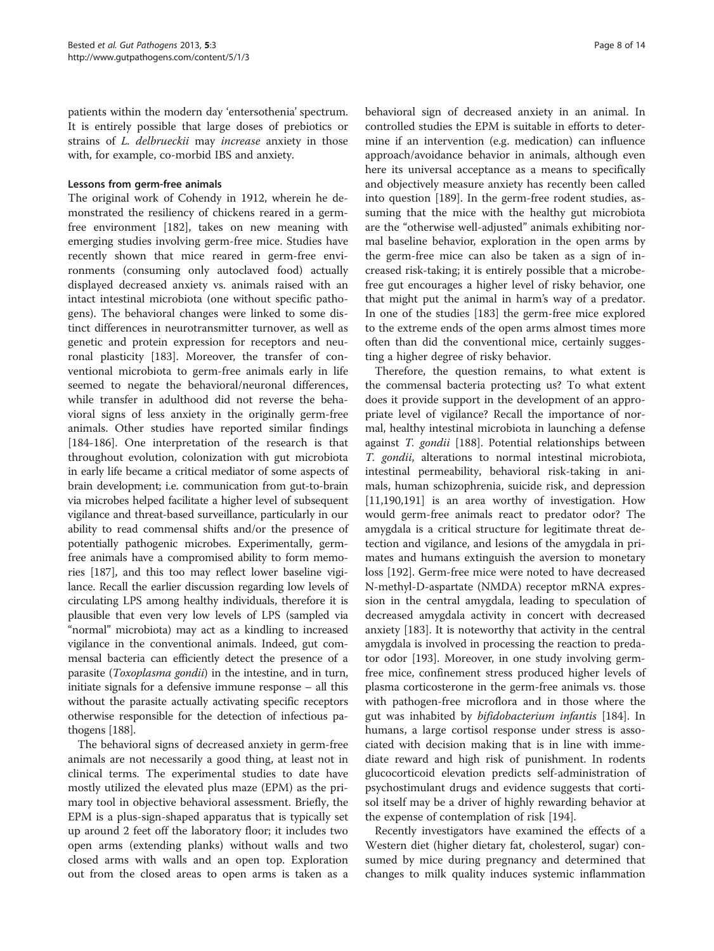patients within the modern day 'entersothenia' spectrum. It is entirely possible that large doses of prebiotics or strains of L. delbrueckii may increase anxiety in those with, for example, co-morbid IBS and anxiety.

### Lessons from germ-free animals

The original work of Cohendy in 1912, wherein he demonstrated the resiliency of chickens reared in a germfree environment [[182](#page-13-0)], takes on new meaning with emerging studies involving germ-free mice. Studies have recently shown that mice reared in germ-free environments (consuming only autoclaved food) actually displayed decreased anxiety vs. animals raised with an intact intestinal microbiota (one without specific pathogens). The behavioral changes were linked to some distinct differences in neurotransmitter turnover, as well as genetic and protein expression for receptors and neuronal plasticity [\[183\]](#page-13-0). Moreover, the transfer of conventional microbiota to germ-free animals early in life seemed to negate the behavioral/neuronal differences, while transfer in adulthood did not reverse the behavioral signs of less anxiety in the originally germ-free animals. Other studies have reported similar findings [[184-186\]](#page-13-0). One interpretation of the research is that throughout evolution, colonization with gut microbiota in early life became a critical mediator of some aspects of brain development; i.e. communication from gut-to-brain via microbes helped facilitate a higher level of subsequent vigilance and threat-based surveillance, particularly in our ability to read commensal shifts and/or the presence of potentially pathogenic microbes. Experimentally, germfree animals have a compromised ability to form memories [\[187\]](#page-13-0), and this too may reflect lower baseline vigilance. Recall the earlier discussion regarding low levels of circulating LPS among healthy individuals, therefore it is plausible that even very low levels of LPS (sampled via "normal" microbiota) may act as a kindling to increased vigilance in the conventional animals. Indeed, gut commensal bacteria can efficiently detect the presence of a parasite (*Toxoplasma gondii*) in the intestine, and in turn, initiate signals for a defensive immune response – all this without the parasite actually activating specific receptors otherwise responsible for the detection of infectious pathogens [[188](#page-13-0)].

The behavioral signs of decreased anxiety in germ-free animals are not necessarily a good thing, at least not in clinical terms. The experimental studies to date have mostly utilized the elevated plus maze (EPM) as the primary tool in objective behavioral assessment. Briefly, the EPM is a plus-sign-shaped apparatus that is typically set up around 2 feet off the laboratory floor; it includes two open arms (extending planks) without walls and two closed arms with walls and an open top. Exploration out from the closed areas to open arms is taken as a

behavioral sign of decreased anxiety in an animal. In controlled studies the EPM is suitable in efforts to determine if an intervention (e.g. medication) can influence approach/avoidance behavior in animals, although even here its universal acceptance as a means to specifically and objectively measure anxiety has recently been called into question [\[189\]](#page-13-0). In the germ-free rodent studies, assuming that the mice with the healthy gut microbiota are the "otherwise well-adjusted" animals exhibiting normal baseline behavior, exploration in the open arms by the germ-free mice can also be taken as a sign of increased risk-taking; it is entirely possible that a microbefree gut encourages a higher level of risky behavior, one that might put the animal in harm's way of a predator. In one of the studies [[183](#page-13-0)] the germ-free mice explored to the extreme ends of the open arms almost times more often than did the conventional mice, certainly suggesting a higher degree of risky behavior.

Therefore, the question remains, to what extent is the commensal bacteria protecting us? To what extent does it provide support in the development of an appropriate level of vigilance? Recall the importance of normal, healthy intestinal microbiota in launching a defense against T. gondii [\[188\]](#page-13-0). Potential relationships between T. gondii, alterations to normal intestinal microbiota, intestinal permeability, behavioral risk-taking in animals, human schizophrenia, suicide risk, and depression [[11,](#page-9-0)[190,191](#page-13-0)] is an area worthy of investigation. How would germ-free animals react to predator odor? The amygdala is a critical structure for legitimate threat detection and vigilance, and lesions of the amygdala in primates and humans extinguish the aversion to monetary loss [\[192\]](#page-13-0). Germ-free mice were noted to have decreased N-methyl-D-aspartate (NMDA) receptor mRNA expression in the central amygdala, leading to speculation of decreased amygdala activity in concert with decreased anxiety [\[183\]](#page-13-0). It is noteworthy that activity in the central amygdala is involved in processing the reaction to predator odor [[193\]](#page-13-0). Moreover, in one study involving germfree mice, confinement stress produced higher levels of plasma corticosterone in the germ-free animals vs. those with pathogen-free microflora and in those where the gut was inhabited by bifidobacterium infantis [\[184](#page-13-0)]. In humans, a large cortisol response under stress is associated with decision making that is in line with immediate reward and high risk of punishment. In rodents glucocorticoid elevation predicts self-administration of psychostimulant drugs and evidence suggests that cortisol itself may be a driver of highly rewarding behavior at the expense of contemplation of risk [[194\]](#page-13-0).

Recently investigators have examined the effects of a Western diet (higher dietary fat, cholesterol, sugar) consumed by mice during pregnancy and determined that changes to milk quality induces systemic inflammation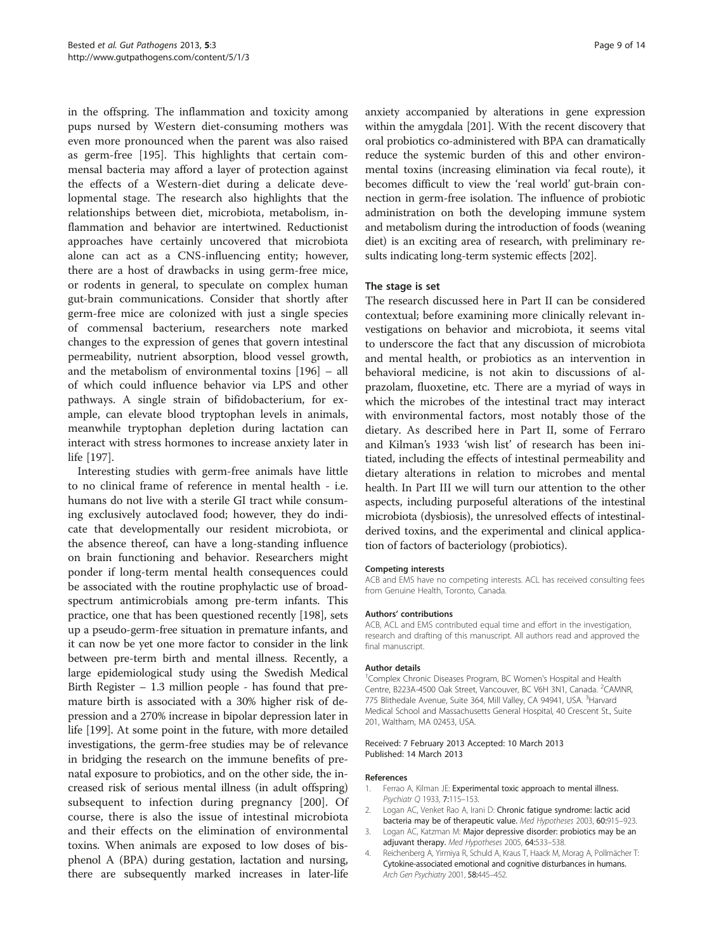<span id="page-8-0"></span>in the offspring. The inflammation and toxicity among pups nursed by Western diet-consuming mothers was even more pronounced when the parent was also raised as germ-free [\[195\]](#page-13-0). This highlights that certain commensal bacteria may afford a layer of protection against the effects of a Western-diet during a delicate developmental stage. The research also highlights that the relationships between diet, microbiota, metabolism, inflammation and behavior are intertwined. Reductionist approaches have certainly uncovered that microbiota alone can act as a CNS-influencing entity; however, there are a host of drawbacks in using germ-free mice, or rodents in general, to speculate on complex human gut-brain communications. Consider that shortly after germ-free mice are colonized with just a single species of commensal bacterium, researchers note marked changes to the expression of genes that govern intestinal permeability, nutrient absorption, blood vessel growth, and the metabolism of environmental toxins [[196](#page-13-0)] – all of which could influence behavior via LPS and other pathways. A single strain of bifidobacterium, for example, can elevate blood tryptophan levels in animals, meanwhile tryptophan depletion during lactation can interact with stress hormones to increase anxiety later in life [\[197\]](#page-13-0).

Interesting studies with germ-free animals have little to no clinical frame of reference in mental health - i.e. humans do not live with a sterile GI tract while consuming exclusively autoclaved food; however, they do indicate that developmentally our resident microbiota, or the absence thereof, can have a long-standing influence on brain functioning and behavior. Researchers might ponder if long-term mental health consequences could be associated with the routine prophylactic use of broadspectrum antimicrobials among pre-term infants. This practice, one that has been questioned recently [\[198](#page-13-0)], sets up a pseudo-germ-free situation in premature infants, and it can now be yet one more factor to consider in the link between pre-term birth and mental illness. Recently, a large epidemiological study using the Swedish Medical Birth Register – 1.3 million people - has found that premature birth is associated with a 30% higher risk of depression and a 270% increase in bipolar depression later in life [[199](#page-13-0)]. At some point in the future, with more detailed investigations, the germ-free studies may be of relevance in bridging the research on the immune benefits of prenatal exposure to probiotics, and on the other side, the increased risk of serious mental illness (in adult offspring) subsequent to infection during pregnancy [\[200](#page-13-0)]. Of course, there is also the issue of intestinal microbiota and their effects on the elimination of environmental toxins. When animals are exposed to low doses of bisphenol A (BPA) during gestation, lactation and nursing, there are subsequently marked increases in later-life

anxiety accompanied by alterations in gene expression within the amygdala [\[201\]](#page-13-0). With the recent discovery that oral probiotics co-administered with BPA can dramatically reduce the systemic burden of this and other environmental toxins (increasing elimination via fecal route), it becomes difficult to view the 'real world' gut-brain connection in germ-free isolation. The influence of probiotic administration on both the developing immune system and metabolism during the introduction of foods (weaning diet) is an exciting area of research, with preliminary results indicating long-term systemic effects [\[202\]](#page-13-0).

### The stage is set

The research discussed here in Part II can be considered contextual; before examining more clinically relevant investigations on behavior and microbiota, it seems vital to underscore the fact that any discussion of microbiota and mental health, or probiotics as an intervention in behavioral medicine, is not akin to discussions of alprazolam, fluoxetine, etc. There are a myriad of ways in which the microbes of the intestinal tract may interact with environmental factors, most notably those of the dietary. As described here in Part II, some of Ferraro and Kilman's 1933 'wish list' of research has been initiated, including the effects of intestinal permeability and dietary alterations in relation to microbes and mental health. In Part III we will turn our attention to the other aspects, including purposeful alterations of the intestinal microbiota (dysbiosis), the unresolved effects of intestinalderived toxins, and the experimental and clinical application of factors of bacteriology (probiotics).

#### Competing interests

ACB and EMS have no competing interests. ACL has received consulting fees from Genuine Health, Toronto, Canada.

#### Authors' contributions

ACB, ACL and EMS contributed equal time and effort in the investigation, research and drafting of this manuscript. All authors read and approved the final manuscript.

#### Author details

<sup>1</sup> Complex Chronic Diseases Program, BC Women's Hospital and Health Centre, B223A-4500 Oak Street, Vancouver, BC V6H 3N1, Canada. <sup>2</sup>CAMNR 775 Blithedale Avenue, Suite 364, Mill Valley, CA 94941, USA. <sup>3</sup>Harvard Medical School and Massachusetts General Hospital, 40 Crescent St., Suite 201, Waltham, MA 02453, USA.

#### Received: 7 February 2013 Accepted: 10 March 2013 Published: 14 March 2013

#### References

- 1. Ferrao A, Kilman JE: Experimental toxic approach to mental illness. Psychiatr Q 1933, 7:115–153.
- 2. Logan AC, Venket Rao A, Irani D: Chronic fatigue syndrome: lactic acid bacteria may be of therapeutic value. Med Hypotheses 2003, 60:915–923.
- 3. Logan AC, Katzman M: Major depressive disorder: probiotics may be an adjuvant therapy. Med Hypotheses 2005, 64:533–538.
- 4. Reichenberg A, Yirmiya R, Schuld A, Kraus T, Haack M, Morag A, Pollmächer T: Cytokine-associated emotional and cognitive disturbances in humans. Arch Gen Psychiatry 2001, 58:445–452.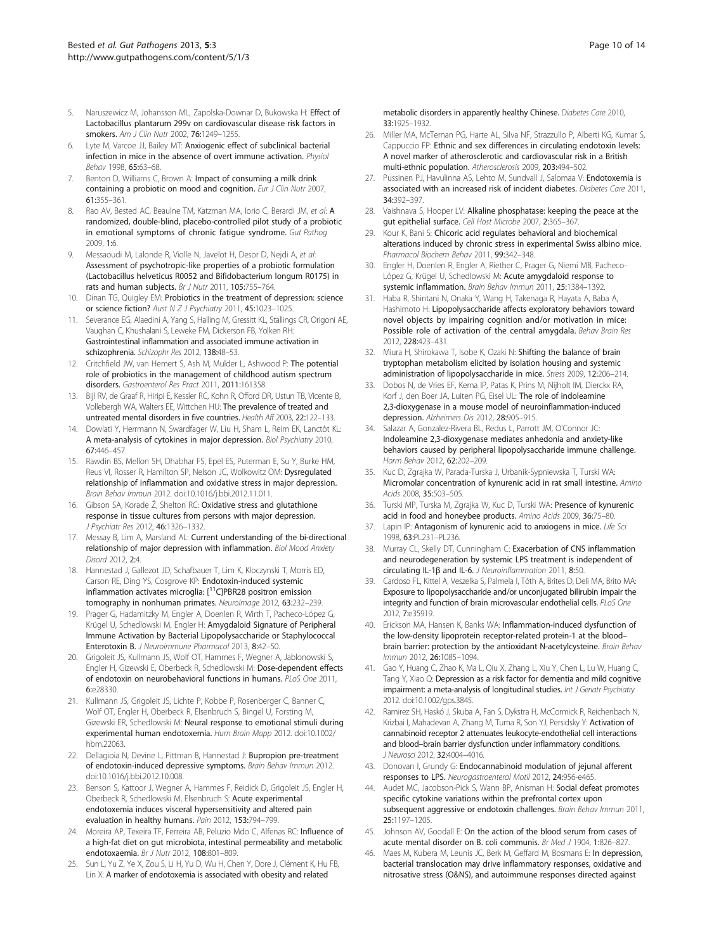- <span id="page-9-0"></span>5. Naruszewicz M, Johansson ML, Zapolska-Downar D, Bukowska H: Effect of Lactobacillus plantarum 299v on cardiovascular disease risk factors in smokers. Am J Clin Nutr 2002, 76:1249-1255.
- 6. Lyte M, Varcoe JJ, Bailey MT: Anxiogenic effect of subclinical bacterial infection in mice in the absence of overt immune activation. Physiol Behav 1998, 65:63–68.
- 7. Benton D, Williams C, Brown A: Impact of consuming a milk drink containing a probiotic on mood and cognition. Eur J Clin Nutr 2007, 61:355–361.
- Rao AV, Bested AC, Beaulne TM, Katzman MA, Iorio C, Berardi JM, et al: A randomized, double-blind, placebo-controlled pilot study of a probiotic in emotional symptoms of chronic fatigue syndrome. Gut Pathog 2009, 1:6.
- 9. Messaoudi M, Lalonde R, Violle N, Javelot H, Desor D, Nejdi A, et al: Assessment of psychotropic-like properties of a probiotic formulation (Lactobacillus helveticus R0052 and Bifidobacterium longum R0175) in rats and human subjects. Br J Nutr 2011, 105:755-764.
- 10. Dinan TG, Quigley EM: Probiotics in the treatment of depression: science or science fiction? Aust N Z J Psychiatry 2011, 45:1023-1025.
- 11. Severance EG, Alaedini A, Yang S, Halling M, Gressitt KL, Stallings CR, Origoni AE, Vaughan C, Khushalani S, Leweke FM, Dickerson FB, Yolken RH: Gastrointestinal inflammation and associated immune activation in schizophrenia. Schizophr Res 2012, 138:48-53.
- 12. Critchfield JW, van Hemert S, Ash M, Mulder L, Ashwood P: The potential role of probiotics in the management of childhood autism spectrum disorders. Gastroenterol Res Pract 2011, 2011:161358.
- 13. Bijl RV, de Graaf R, Hiripi E, Kessler RC, Kohn R, Offord DR, Ustun TB, Vicente B, Vollebergh WA, Walters EE, Wittchen HU: The prevalence of treated and untreated mental disorders in five countries. Health Aff 2003, 22:122–133.
- 14. Dowlati Y, Herrmann N, Swardfager W, Liu H, Sham L, Reim EK, Lanctôt KL: A meta-analysis of cytokines in major depression. Biol Psychiatry 2010, 67:446–457.
- 15. Rawdin BS, Mellon SH, Dhabhar FS, Epel ES, Puterman E, Su Y, Burke HM, Reus VI, Rosser R, Hamilton SP, Nelson JC, Wolkowitz OM: Dysregulated relationship of inflammation and oxidative stress in major depression. Brain Behav Immun 2012. doi:[10.1016/j.bbi.2012.11.011](http://dx.doi.org/10.1016/j.bbi.2012.11.011).
- 16. Gibson SA, Korade Ž, Shelton RC: Oxidative stress and glutathione response in tissue cultures from persons with major depression. J Psychiatr Res 2012, 46:1326–1332.
- 17. Messay B, Lim A, Marsland AL: Current understanding of the bi-directional relationship of major depression with inflammation. Biol Mood Anxiety Disord 2012, 2:4.
- 18. Hannestad J, Gallezot JD, Schafbauer T, Lim K, Kloczynski T, Morris ED, Carson RE, Ding YS, Cosgrove KP: Endotoxin-induced systemic inflammation activates microglia:  $[11C]$ PBR28 positron emission tomography in nonhuman primates. Neurolmage 2012, 63:232-239.
- 19. Prager G, Hadamitzky M, Engler A, Doenlen R, Wirth T, Pacheco-López G, Krügel U, Schedlowski M, Engler H: Amygdaloid Signature of Peripheral Immune Activation by Bacterial Lipopolysaccharide or Staphylococcal Enterotoxin B. J Neuroimmune Pharmacol 2013, 8:42–50.
- 20. Grigoleit JS, Kullmann JS, Wolf OT, Hammes F, Wegner A, Jablonowski S, Engler H, Gizewski E, Oberbeck R, Schedlowski M: Dose-dependent effects of endotoxin on neurobehavioral functions in humans. PLoS One 2011, 6:e28330.
- 21. Kullmann JS, Grigoleit JS, Lichte P, Kobbe P, Rosenberger C, Banner C, Wolf OT, Engler H, Oberbeck R, Elsenbruch S, Bingel U, Forsting M, Gizewski ER, Schedlowski M: Neural response to emotional stimuli during experimental human endotoxemia. Hum Brain Mapp 2012. doi[:10.1002/](http://dx.doi.org/10.1002/hbm.22063) [hbm.22063](http://dx.doi.org/10.1002/hbm.22063).
- 22. Dellagioia N, Devine L, Pittman B, Hannestad J: Bupropion pre-treatment of endotoxin-induced depressive symptoms. Brain Behav Immun 2012. doi[:10.1016/j.bbi.2012.10.008](http://dx.doi.org/10.1016/j.bbi.2012.10.008).
- 23. Benson S, Kattoor J, Wegner A, Hammes F, Reidick D, Grigoleit JS, Engler H, Oberbeck R, Schedlowski M, Elsenbruch S: Acute experimental endotoxemia induces visceral hypersensitivity and altered pain evaluation in healthy humans. Pain 2012, 153:794-799.
- 24. Moreira AP, Texeira TF, Ferreira AB, Peluzio Mdo C, Alfenas RC: Influence of a high-fat diet on gut microbiota, intestinal permeability and metabolic endotoxaemia. Br J Nutr 2012, 108:801–809.
- 25. Sun L, Yu Z, Ye X, Zou S, Li H, Yu D, Wu H, Chen Y, Dore J, Clément K, Hu FB, Lin X: A marker of endotoxemia is associated with obesity and related

metabolic disorders in apparently healthy Chinese. Diabetes Care 2010, 33:1925–1932.

- 26. Miller MA, McTernan PG, Harte AL, Silva NF, Strazzullo P, Alberti KG, Kumar S, Cappuccio FP: Ethnic and sex differences in circulating endotoxin levels: A novel marker of atherosclerotic and cardiovascular risk in a British multi-ethnic population. Atherosclerosis 2009, 203:494–502.
- 27. Pussinen PJ, Havulinna AS, Lehto M, Sundvall J, Salomaa V; Endotoxemia is associated with an increased risk of incident diabetes. Diabetes Care 2011, 34:392–397.
- 28. Vaishnava S, Hooper LV: Alkaline phosphatase: keeping the peace at the gut epithelial surface. Cell Host Microbe 2007, 2:365–367.
- 29. Kour K, Bani S: Chicoric acid regulates behavioral and biochemical alterations induced by chronic stress in experimental Swiss albino mice. Pharmacol Biochem Behav 2011, 99:342–348.
- 30. Engler H, Doenlen R, Engler A, Riether C, Prager G, Niemi MB, Pacheco-López G, Krügel U, Schedlowski M: Acute amygdaloid response to systemic inflammation. Brain Behav Immun 2011, 25:1384–1392.
- 31. Haba R, Shintani N, Onaka Y, Wang H, Takenaga R, Hayata A, Baba A, Hashimoto H: Lipopolysaccharide affects exploratory behaviors toward novel objects by impairing cognition and/or motivation in mice: Possible role of activation of the central amygdala. Behav Brain Res 2012, 228:423–431.
- 32. Miura H, Shirokawa T, Isobe K, Ozaki N: Shifting the balance of brain tryptophan metabolism elicited by isolation housing and systemic administration of lipopolysaccharide in mice. Stress 2009, 12:206–214.
- 33. Dobos N, de Vries EF, Kema IP, Patas K, Prins M, Nijholt IM, Dierckx RA, Korf J, den Boer JA, Luiten PG, Eisel UL: The role of indoleamine 2,3-dioxygenase in a mouse model of neuroinflammation-induced depression. Alzheimers Dis 2012, 28:905–915.
- 34. Salazar A, Gonzalez-Rivera BL, Redus L, Parrott JM, O'Connor JC: Indoleamine 2,3-dioxygenase mediates anhedonia and anxiety-like behaviors caused by peripheral lipopolysaccharide immune challenge. Horm Behav 2012, 62:202–209.
- 35. Kuc D, Zgrajka W, Parada-Turska J, Urbanik-Sypniewska T, Turski WA: Micromolar concentration of kynurenic acid in rat small intestine. Amino Acids 2008, 35:503-505.
- 36. Turski MP, Turska M, Zgrajka W, Kuc D, Turski WA: Presence of kynurenic acid in food and honeybee products. Amino Acids 2009, 36:75–80.
- 37. Lapin IP: Antagonism of kynurenic acid to anxiogens in mice. Life Sci 1998, 63:PL231–PL236.
- 38. Murray CL, Skelly DT, Cunningham C: Exacerbation of CNS inflammation and neurodegeneration by systemic LPS treatment is independent of circulating IL-1β and IL-6. J Neuroinflammation 2011, 8:50.
- 39. Cardoso FL, Kittel A, Veszelka S, Palmela I, Tóth A, Brites D, Deli MA, Brito MA: Exposure to lipopolysaccharide and/or unconjugated bilirubin impair the integrity and function of brain microvascular endothelial cells. PLoS One 2012, 7:e35919.
- 40. Erickson MA, Hansen K, Banks WA: Inflammation-induced dysfunction of the low-density lipoprotein receptor-related protein-1 at the blood– brain barrier: protection by the antioxidant N-acetylcysteine. Brain Behav Immun 2012, 26:1085–1094.
- 41. Gao Y, Huang C, Zhao K, Ma L, Qiu X, Zhang L, Xiu Y, Chen L, Lu W, Huang C, Tang Y, Xiao Q: Depression as a risk factor for dementia and mild cognitive impairment: a meta-analysis of longitudinal studies. Int J Geriatr Psychiatry 2012. doi[:10.1002/gps.3845.](http://dx.doi.org/10.1002/gps.3845)
- 42. Ramirez SH, Haskó J, Skuba A, Fan S, Dykstra H, McCormick R, Reichenbach N, Krizbai I, Mahadevan A, Zhang M, Tuma R, Son YJ, Persidsky Y: Activation of cannabinoid receptor 2 attenuates leukocyte-endothelial cell interactions and blood–brain barrier dysfunction under inflammatory conditions. J Neurosci 2012, 32:4004–4016.
- 43. Donovan I, Grundy G: Endocannabinoid modulation of jejunal afferent responses to LPS. Neurogastroenterol Motil 2012, 24:956-e465.
- 44. Audet MC, Jacobson-Pick S, Wann BP, Anisman H: Social defeat promotes specific cytokine variations within the prefrontal cortex upon subsequent aggressive or endotoxin challenges. Brain Behav Immun 2011, 25:1197–1205.
- 45. Johnson AV, Goodall E: On the action of the blood serum from cases of acute mental disorder on B. coli communis. Br Med J 1904, 1:826-827
- 46. Maes M, Kubera M, Leunis JC, Berk M, Geffard M, Bosmans E: In depression, bacterial translocation may drive inflammatory responses, oxidative and nitrosative stress (O&NS), and autoimmune responses directed against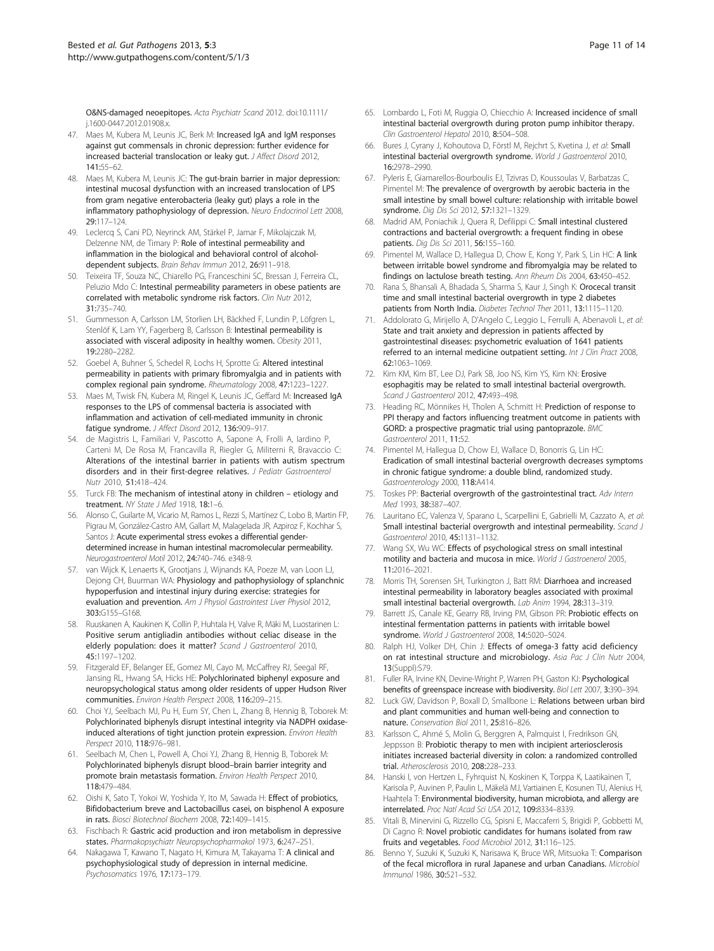<span id="page-10-0"></span>O&NS-damaged neoepitopes. Acta Psychiatr Scand 2012. doi[:10.1111/](http://dx.doi.org/10.1111/j.1600-0447.2012.01908.x) [j.1600-0447.2012.01908.x](http://dx.doi.org/10.1111/j.1600-0447.2012.01908.x).

- 47. Maes M, Kubera M, Leunis JC, Berk M: Increased IgA and IgM responses against gut commensals in chronic depression: further evidence for increased bacterial translocation or leaky gut. J Affect Disord 2012, 141:55–62.
- 48. Maes M, Kubera M, Leunis JC: The gut-brain barrier in major depression: intestinal mucosal dysfunction with an increased translocation of LPS from gram negative enterobacteria (leaky gut) plays a role in the inflammatory pathophysiology of depression. Neuro Endocrinol Lett 2008, 29:117–124.
- 49. Leclercq S, Cani PD, Neyrinck AM, Stärkel P, Jamar F, Mikolajczak M, Delzenne NM, de Timary P: Role of intestinal permeability and inflammation in the biological and behavioral control of alcoholdependent subjects. Brain Behav Immun 2012, 26:911–918.
- 50. Teixeira TF, Souza NC, Chiarello PG, Franceschini SC, Bressan J, Ferreira CL, Peluzio Mdo C: Intestinal permeability parameters in obese patients are correlated with metabolic syndrome risk factors. Clin Nutr 2012, 31:735–740.
- 51. Gummesson A, Carlsson LM, Storlien LH, Bäckhed F, Lundin P, Löfgren L, Stenlöf K, Lam YY, Fagerberg B, Carlsson B: Intestinal permeability is associated with visceral adiposity in healthy women. Obesity 2011, 19:2280–2282.
- 52. Goebel A, Buhner S, Schedel R, Lochs H, Sprotte G: Altered intestinal permeability in patients with primary fibromyalgia and in patients with complex regional pain syndrome. Rheumatology 2008, 47:1223–1227.
- 53. Maes M, Twisk FN, Kubera M, Ringel K, Leunis JC, Geffard M: Increased IgA responses to the LPS of commensal bacteria is associated with inflammation and activation of cell-mediated immunity in chronic fatigue syndrome. J Affect Disord 2012, 136:909–917.
- 54. de Magistris L, Familiari V, Pascotto A, Sapone A, Frolli A, Iardino P, Carteni M, De Rosa M, Francavilla R, Riegler G, Militerni R, Bravaccio C: Alterations of the intestinal barrier in patients with autism spectrum disorders and in their first-degree relatives. J Pediatr Gastroenterol Nutr 2010, 51:418–424.
- 55. Turck FB: The mechanism of intestinal atony in children etiology and treatment. NY State J Med 1918, 18:1-6.
- 56. Alonso C, Guilarte M, Vicario M, Ramos L, Rezzi S, Martínez C, Lobo B, Martin FP, Pigrau M, González-Castro AM, Gallart M, Malagelada JR, Azpiroz F, Kochhar S, Santos J: Acute experimental stress evokes a differential genderdetermined increase in human intestinal macromolecular permeability. Neurogastroenterol Motil 2012, 24:740–746. e348-9.
- 57. van Wijck K, Lenaerts K, Grootjans J, Wijnands KA, Poeze M, van Loon LJ, Dejong CH, Buurman WA: Physiology and pathophysiology of splanchnic hypoperfusion and intestinal injury during exercise: strategies for evaluation and prevention. Am J Physiol Gastrointest Liver Physiol 2012, 303:G155–G168.
- 58. Ruuskanen A, Kaukinen K, Collin P, Huhtala H, Valve R, Mäki M, Luostarinen L: Positive serum antigliadin antibodies without celiac disease in the elderly population: does it matter? Scand J Gastroenterol 2010, 45:1197–1202.
- 59. Fitzgerald EF, Belanger EE, Gomez MI, Cayo M, McCaffrey RJ, Seegal RF, Jansing RL, Hwang SA, Hicks HE: Polychlorinated biphenyl exposure and neuropsychological status among older residents of upper Hudson River communities. Environ Health Perspect 2008, 116:209–215.
- 60. Choi YJ, Seelbach MJ, Pu H, Eum SY, Chen L, Zhang B, Hennig B, Toborek M: Polychlorinated biphenyls disrupt intestinal integrity via NADPH oxidaseinduced alterations of tight junction protein expression. Environ Health Perspect 2010, 118:976–981.
- 61. Seelbach M, Chen L, Powell A, Choi YJ, Zhang B, Hennig B, Toborek M: Polychlorinated biphenyls disrupt blood–brain barrier integrity and promote brain metastasis formation. Environ Health Perspect 2010, 118:479–484.
- 62. Oishi K, Sato T, Yokoi W, Yoshida Y, Ito M, Sawada H: Effect of probiotics, Bifidobacterium breve and Lactobacillus casei, on bisphenol A exposure in rats. Biosci Biotechnol Biochem 2008, 72:1409–1415.
- 63. Fischbach R: Gastric acid production and iron metabolism in depressive states. Pharmakopsychiatr Neuropsychopharmakol 1973, 6:247–251.
- 64. Nakagawa T, Kawano T, Nagato H, Kimura M, Takayama T: A clinical and psychophysiological study of depression in internal medicine. Psychosomatics 1976, 17:173–179.
- 65. Lombardo L, Foti M, Ruggia O, Chiecchio A: Increased incidence of small intestinal bacterial overgrowth during proton pump inhibitor therapy. Clin Gastroenterol Hepatol 2010, 8:504–508.
- 66. Bures J, Cyrany J, Kohoutova D, Förstl M, Rejchrt S, Kvetina J, et al: Small intestinal bacterial overgrowth syndrome. World J Gastroenterol 2010, 16:2978–2990.
- 67. Pyleris E, Giamarellos-Bourboulis EJ, Tzivras D, Koussoulas V, Barbatzas C, Pimentel M: The prevalence of overgrowth by aerobic bacteria in the small intestine by small bowel culture: relationship with irritable bowel syndrome. Dig Dis Sci 2012, 57:1321-1329.
- 68. Madrid AM, Poniachik J, Quera R, Defilippi C: Small intestinal clustered contractions and bacterial overgrowth: a frequent finding in obese patients. Dig Dis Sci 2011, 56:155–160.
- 69. Pimentel M, Wallace D, Hallegua D, Chow E, Kong Y, Park S, Lin HC: A link between irritable bowel syndrome and fibromyalgia may be related to findings on lactulose breath testing. Ann Rheum Dis 2004, 63:450–452.
- 70. Rana S, Bhansali A, Bhadada S, Sharma S, Kaur J, Singh K: Orocecal transit time and small intestinal bacterial overgrowth in type 2 diabetes patients from North India. Diabetes Technol Ther 2011, 13:1115-1120.
- 71. Addolorato G, Mirijello A, D'Angelo C, Leggio L, Ferrulli A, Abenavoli L, et al: State and trait anxiety and depression in patients affected by gastrointestinal diseases: psychometric evaluation of 1641 patients referred to an internal medicine outpatient setting. Int J Clin Pract 2008, 62:1063–1069.
- 72. Kim KM, Kim BT, Lee DJ, Park SB, Joo NS, Kim YS, Kim KN: Erosive esophagitis may be related to small intestinal bacterial overgrowth. Scand J Gastroenterol 2012, 47:493–498.
- 73. Heading RC, Mönnikes H, Tholen A, Schmitt H: Prediction of response to PPI therapy and factors influencing treatment outcome in patients with GORD: a prospective pragmatic trial using pantoprazole. BMC Gastroenterol 2011, 11:52.
- 74. Pimentel M, Hallegua D, Chow EJ, Wallace D, Bonorris G, Lin HC: Eradication of small intestinal bacterial overgrowth decreases symptoms in chronic fatigue syndrome: a double blind, randomized study. Gastroenterology 2000, 118:A414.
- 75. Toskes PP: Bacterial overgrowth of the gastrointestinal tract. Adv Intern Med 1993, 38:387–407.
- 76. Lauritano EC, Valenza V, Sparano L, Scarpellini E, Gabrielli M, Cazzato A, et al: Small intestinal bacterial overgrowth and intestinal permeability. Scand J Gastroenterol 2010, 45:1131–1132.
- 77. Wang SX, Wu WC: Effects of psychological stress on small intestinal motility and bacteria and mucosa in mice. World J Gastroenerol 2005, 11:2016–2021.
- 78. Morris TH, Sorensen SH, Turkington J, Batt RM: Diarrhoea and increased intestinal permeability in laboratory beagles associated with proximal small intestinal bacterial overgrowth. Lab Anim 1994, 28:313–319.
- 79. Barrett JS, Canale KE, Gearry RB, Irving PM, Gibson PR: Probiotic effects on intestinal fermentation patterns in patients with irritable bowel syndrome. World J Gastroenterol 2008, 14:5020–5024.
- Ralph HJ, Volker DH, Chin J: Effects of omega-3 fatty acid deficiency on rat intestinal structure and microbiology. Asia Pac J Clin Nutr 2004, 13(Suppl):S79.
- 81. Fuller RA, Irvine KN, Devine-Wright P, Warren PH, Gaston KJ: Psychological benefits of greenspace increase with biodiversity. Biol Lett 2007, 3:390–394.
- 82. Luck GW, Davidson P, Boxall D, Smallbone L: Relations between urban bird and plant communities and human well-being and connection to nature. Conservation Biol 2011, 25:816–826.
- 83. Karlsson C, Ahrné S, Molin G, Berggren A, Palmquist I, Fredrikson GN, Jeppsson B: Probiotic therapy to men with incipient arteriosclerosis initiates increased bacterial diversity in colon: a randomized controlled trial. Atherosclerosis 2010, 208:228–233.
- 84. Hanski I, von Hertzen L, Fyhrquist N, Koskinen K, Torppa K, Laatikainen T, Karisola P, Auvinen P, Paulin L, Mäkelä MJ, Vartiainen E, Kosunen TU, Alenius H, Haahtela T: Environmental biodiversity, human microbiota, and allergy are interrelated. Proc Natl Acad Sci USA 2012, 109:8334–8339.
- 85. Vitali B, Minervini G, Rizzello CG, Spisni E, Maccaferri S, Brigidi P, Gobbetti M, Di Cagno R: Novel probiotic candidates for humans isolated from raw fruits and vegetables. Food Microbiol 2012, 31:116–125.
- 86. Benno Y, Suzuki K, Suzuki K, Narisawa K, Bruce WR, Mitsuoka T: Comparison of the fecal microflora in rural Japanese and urban Canadians. Microbiol Immunol 1986, 30:521–532.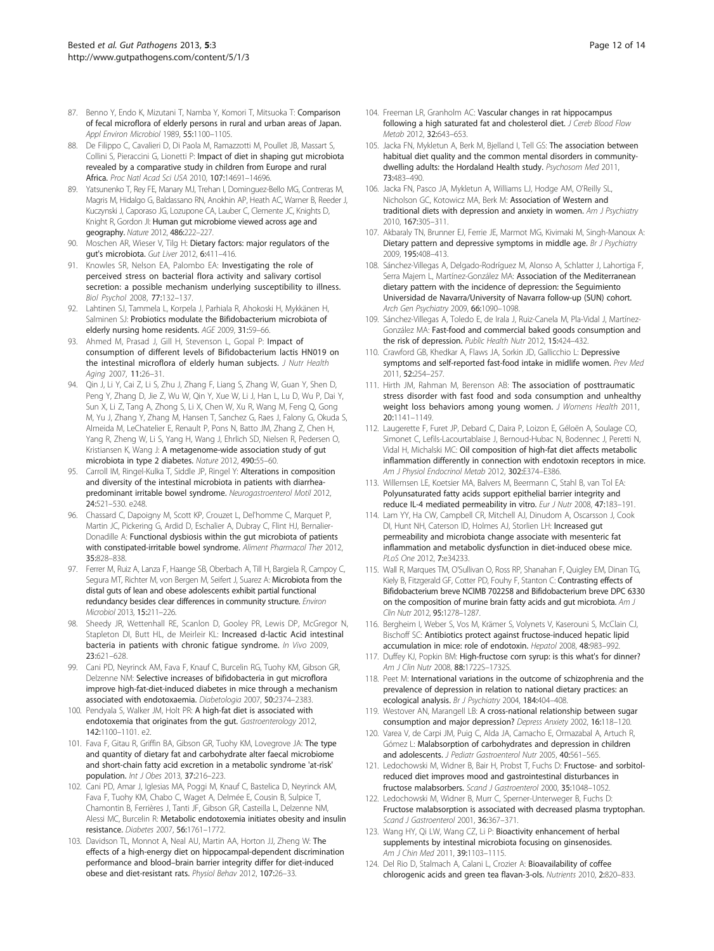- <span id="page-11-0"></span>87. Benno Y, Endo K, Mizutani T, Namba Y, Komori T, Mitsuoka T: Comparison of fecal microflora of elderly persons in rural and urban areas of Japan. Appl Environ Microbiol 1989, 55:1100–1105.
- 88. De Filippo C, Cavalieri D, Di Paola M, Ramazzotti M, Poullet JB, Massart S, Collini S, Pieraccini G, Lionetti P: Impact of diet in shaping gut microbiota revealed by a comparative study in children from Europe and rural Africa. Proc Natl Acad Sci USA 2010, 107:14691–14696.
- 89. Yatsunenko T, Rey FE, Manary MJ, Trehan I, Dominguez-Bello MG, Contreras M, Magris M, Hidalgo G, Baldassano RN, Anokhin AP, Heath AC, Warner B, Reeder J, Kuczynski J, Caporaso JG, Lozupone CA, Lauber C, Clemente JC, Knights D, Knight R, Gordon JI: Human gut microbiome viewed across age and geography. Nature 2012, 486:222–227.
- 90. Moschen AR, Wieser V, Tilg H: Dietary factors: major regulators of the gut's microbiota. Gut Liver 2012, 6:411–416.
- 91. Knowles SR, Nelson EA, Palombo EA: Investigating the role of perceived stress on bacterial flora activity and salivary cortisol secretion: a possible mechanism underlying susceptibility to illness. Biol Psychol 2008, 77:132–137.
- 92. Lahtinen SJ, Tammela L, Korpela J, Parhiala R, Ahokoski H, Mykkänen H, Salminen SJ: Probiotics modulate the Bifidobacterium microbiota of elderly nursing home residents. AGE 2009, 31:59–66.
- 93. Ahmed M, Prasad J, Gill H, Stevenson L, Gopal P: Impact of consumption of different levels of Bifidobacterium lactis HN019 on the intestinal microflora of elderly human subjects. J Nutr Health Aging 2007, 11:26–31.
- 94. Qin J, Li Y, Cai Z, Li S, Zhu J, Zhang F, Liang S, Zhang W, Guan Y, Shen D, Peng Y, Zhang D, Jie Z, Wu W, Qin Y, Xue W, Li J, Han L, Lu D, Wu P, Dai Y, Sun X, Li Z, Tang A, Zhong S, Li X, Chen W, Xu R, Wang M, Feng Q, Gong M, Yu J, Zhang Y, Zhang M, Hansen T, Sanchez G, Raes J, Falony G, Okuda S, Almeida M, LeChatelier E, Renault P, Pons N, Batto JM, Zhang Z, Chen H, Yang R, Zheng W, Li S, Yang H, Wang J, Ehrlich SD, Nielsen R, Pedersen O, Kristiansen K, Wang J: A metagenome-wide association study of gut microbiota in type 2 diabetes. Nature 2012, 490:55–60.
- 95. Carroll IM, Ringel-Kulka T, Siddle JP, Ringel Y: Alterations in composition and diversity of the intestinal microbiota in patients with diarrheapredominant irritable bowel syndrome. Neurogastroenterol Motil 2012, 24:521–530. e248.
- 96. Chassard C, Dapoigny M, Scott KP, Crouzet L, Del'homme C, Marquet P, Martin JC, Pickering G, Ardid D, Eschalier A, Dubray C, Flint HJ, Bernalier-Donadille A: Functional dysbiosis within the gut microbiota of patients with constipated-irritable bowel syndrome. Aliment Pharmacol Ther 2012, 35:828–838.
- 97. Ferrer M, Ruiz A, Lanza F, Haange SB, Oberbach A, Till H, Bargiela R, Campoy C, Segura MT, Richter M, von Bergen M, Seifert J, Suarez A: Microbiota from the distal guts of lean and obese adolescents exhibit partial functional redundancy besides clear differences in community structure. Environ Microbiol 2013, 15:211–226.
- 98. Sheedy JR, Wettenhall RE, Scanlon D, Gooley PR, Lewis DP, McGregor N, Stapleton DI, Butt HL, de Meirleir KL: Increased d-lactic Acid intestinal bacteria in patients with chronic fatigue syndrome. In Vivo 2009, 23:621–628.
- 99. Cani PD, Neyrinck AM, Fava F, Knauf C, Burcelin RG, Tuohy KM, Gibson GR, Delzenne NM: Selective increases of bifidobacteria in gut microflora improve high-fat-diet-induced diabetes in mice through a mechanism associated with endotoxaemia. Diabetologia 2007, 50:2374–2383.
- 100. Pendyala S, Walker JM, Holt PR: A high-fat diet is associated with endotoxemia that originates from the gut. Gastroenterology 2012, 142:1100–1101. e2.
- 101. Fava F, Gitau R, Griffin BA, Gibson GR, Tuohy KM, Lovegrove JA: The type and quantity of dietary fat and carbohydrate alter faecal microbiome and short-chain fatty acid excretion in a metabolic syndrome 'at-risk' population. Int J Obes 2013, 37:216–223.
- 102. Cani PD, Amar J, Iglesias MA, Poggi M, Knauf C, Bastelica D, Neyrinck AM, Fava F, Tuohy KM, Chabo C, Waget A, Delmée E, Cousin B, Sulpice T, Chamontin B, Ferrières J, Tanti JF, Gibson GR, Casteilla L, Delzenne NM, Alessi MC, Burcelin R: Metabolic endotoxemia initiates obesity and insulin resistance. Diabetes 2007, 56:1761–1772.
- 103. Davidson TL, Monnot A, Neal AU, Martin AA, Horton JJ, Zheng W: The effects of a high-energy diet on hippocampal-dependent discrimination performance and blood–brain barrier integrity differ for diet-induced obese and diet-resistant rats. Physiol Behav 2012, 107:26–33.
- 104. Freeman LR, Granholm AC: Vascular changes in rat hippocampus following a high saturated fat and cholesterol diet. J Cereb Blood Flow Metab 2012, 32:643–653.
- 105. Jacka FN, Mykletun A, Berk M, Bjelland I, Tell GS: The association between habitual diet quality and the common mental disorders in communitydwelling adults: the Hordaland Health study. Psychosom Med 2011, 73:483–490.
- 106. Jacka FN, Pasco JA, Mykletun A, Williams LJ, Hodge AM, O'Reilly SL, Nicholson GC, Kotowicz MA, Berk M: Association of Western and traditional diets with depression and anxiety in women. Am J Psychiatry 2010, 167:305–311.
- 107. Akbaraly TN, Brunner EJ, Ferrie JE, Marmot MG, Kivimaki M, Singh-Manoux A: Dietary pattern and depressive symptoms in middle age. Br J Psychiatry 2009, 195:408–413.
- 108. Sánchez-Villegas A, Delgado-Rodríguez M, Alonso A, Schlatter J, Lahortiga F, Serra Majem L, Martínez-González MA: Association of the Mediterranean dietary pattern with the incidence of depression: the Seguimiento Universidad de Navarra/University of Navarra follow-up (SUN) cohort. Arch Gen Psychiatry 2009, 66:1090–1098.
- 109. Sánchez-Villegas A, Toledo E, de Irala J, Ruiz-Canela M, Pla-Vidal J, Martínez-González MA: Fast-food and commercial baked goods consumption and the risk of depression. Public Health Nutr 2012, 15:424–432.
- 110. Crawford GB, Khedkar A, Flaws JA, Sorkin JD, Gallicchio L: Depressive symptoms and self-reported fast-food intake in midlife women. Prev Med 2011, 52:254–257.
- 111. Hirth JM, Rahman M, Berenson AB: The association of posttraumatic stress disorder with fast food and soda consumption and unhealthy weight loss behaviors among young women. J Womens Health 2011, 20:1141–1149.
- 112. Laugerette F, Furet JP, Debard C, Daira P, Loizon E, Géloën A, Soulage CO, Simonet C, Lefils-Lacourtablaise J, Bernoud-Hubac N, Bodennec J, Peretti N, Vidal H, Michalski MC: Oil composition of high-fat diet affects metabolic inflammation differently in connection with endotoxin receptors in mice. Am J Physiol Endocrinol Metab 2012, 302:E374-E386.
- 113. Willemsen LE, Koetsier MA, Balvers M, Beermann C, Stahl B, van Tol EA: Polyunsaturated fatty acids support epithelial barrier integrity and reduce IL-4 mediated permeability in vitro. Eur J Nutr 2008, 47:183–191.
- 114. Lam YY, Ha CW, Campbell CR, Mitchell AJ, Dinudom A, Oscarsson J, Cook DI, Hunt NH, Caterson ID, Holmes AJ, Storlien LH: Increased gut permeability and microbiota change associate with mesenteric fat inflammation and metabolic dysfunction in diet-induced obese mice. PLoS One 2012, 7:e34233.
- 115. Wall R, Marques TM, O'Sullivan O, Ross RP, Shanahan F, Quigley EM, Dinan TG, Kiely B, Fitzgerald GF, Cotter PD, Fouhy F, Stanton C: Contrasting effects of Bifidobacterium breve NCIMB 702258 and Bifidobacterium breve DPC 6330 on the composition of murine brain fatty acids and gut microbiota. Am J Clin Nutr 2012, 95:1278–1287.
- 116. Bergheim I, Weber S, Vos M, Krämer S, Volynets V, Kaserouni S, McClain CJ, Bischoff SC: Antibiotics protect against fructose-induced hepatic lipid accumulation in mice: role of endotoxin. Hepatol 2008, 48:983–992.
- 117. Duffey KJ, Popkin BM: High-fructose corn syrup: is this what's for dinner? Am J Clin Nutr 2008, 88:1722S-1732S.
- 118. Peet M: International variations in the outcome of schizophrenia and the prevalence of depression in relation to national dietary practices: an ecological analysis. Br J Psychiatry 2004, 184:404-408.
- 119. Westover AN, Marangell LB: A cross-national relationship between sugar consumption and major depression? Depress Anxiety 2002, 16:118–120.
- 120. Varea V, de Carpi JM, Puig C, Alda JA, Camacho E, Ormazabal A, Artuch R, Gómez L: Malabsorption of carbohydrates and depression in children and adolescents. J Pediatr Gastroenterol Nutr 2005, 40:561–565.
- 121. Ledochowski M, Widner B, Bair H, Probst T, Fuchs D: Fructose- and sorbitolreduced diet improves mood and gastrointestinal disturbances in fructose malabsorbers. Scand J Gastroenterol 2000, 35:1048–1052.
- 122. Ledochowski M, Widner B, Murr C, Sperner-Unterweger B, Fuchs D: Fructose malabsorption is associated with decreased plasma tryptophan. Scand J Gastroenterol 2001, 36:367-371.
- 123. Wang HY, Qi LW, Wang CZ, Li P: Bioactivity enhancement of herbal supplements by intestinal microbiota focusing on ginsenosides. Am J Chin Med 2011, 39:1103-1115.
- 124. Del Rio D, Stalmach A, Calani L, Crozier A: Bioavailability of coffee chlorogenic acids and green tea flavan-3-ols. Nutrients 2010, 2:820–833.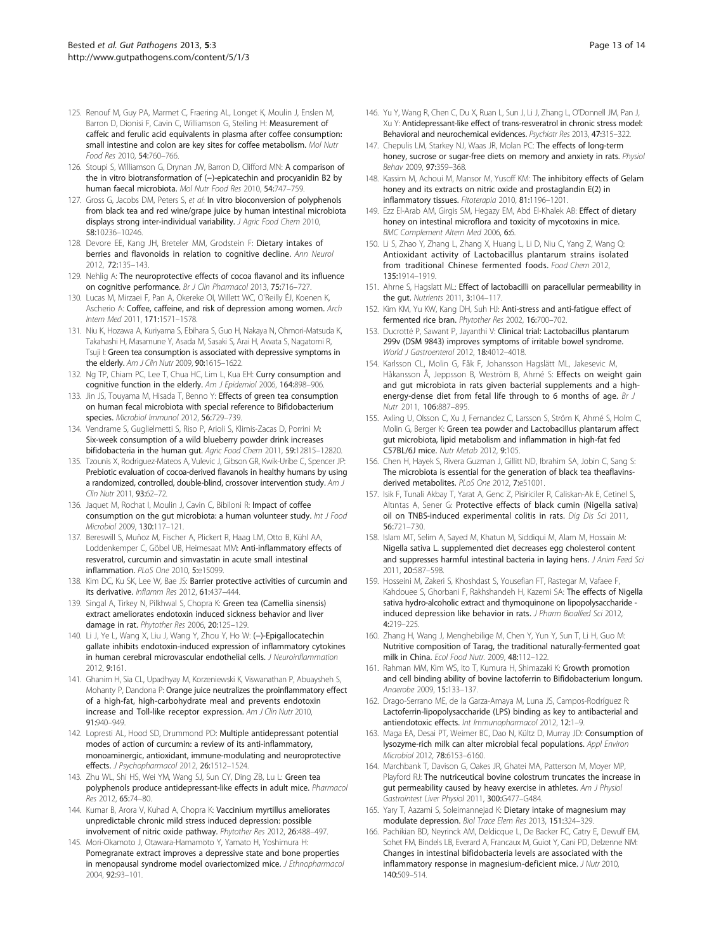- <span id="page-12-0"></span>125. Renouf M, Guy PA, Marmet C, Fraering AL, Longet K, Moulin J, Enslen M, Barron D, Dionisi F, Cavin C, Williamson G, Steiling H: Measurement of caffeic and ferulic acid equivalents in plasma after coffee consumption: small intestine and colon are key sites for coffee metabolism. Mol Nutr Food Res 2010, 54:760–766.
- 126. Stoupi S, Williamson G, Drynan JW, Barron D, Clifford MN: A comparison of the in vitro biotransformation of (−)-epicatechin and procyanidin B2 by human faecal microbiota. Mol Nutr Food Res 2010, 54:747–759.
- 127. Gross G, Jacobs DM, Peters S, et al: In vitro bioconversion of polyphenols from black tea and red wine/grape juice by human intestinal microbiota displays strong inter-individual variability. J Agric Food Chem 2010, 58:10236–10246.
- 128. Devore EE, Kang JH, Breteler MM, Grodstein F: Dietary intakes of berries and flavonoids in relation to cognitive decline. Ann Neurol 2012, 72:135–143.
- 129. Nehlig A: The neuroprotective effects of cocoa flavanol and its influence on cognitive performance. Br J Clin Pharmacol 2013, 75:716-727.
- 130. Lucas M, Mirzaei F, Pan A, Okereke OI, Willett WC, O'Reilly ÉJ, Koenen K, Ascherio A: Coffee, caffeine, and risk of depression among women. Arch Intern Med 2011, 171:1571–1578.
- 131. Niu K, Hozawa A, Kuriyama S, Ebihara S, Guo H, Nakaya N, Ohmori-Matsuda K, Takahashi H, Masamune Y, Asada M, Sasaki S, Arai H, Awata S, Nagatomi R, Tsuji I: Green tea consumption is associated with depressive symptoms in the elderly. Am J Clin Nutr 2009, 90:1615–1622.
- 132. Ng TP, Chiam PC, Lee T, Chua HC, Lim L, Kua EH: Curry consumption and cognitive function in the elderly. Am J Epidemiol 2006, 164:898-906.
- 133. Jin JS, Touyama M, Hisada T, Benno Y: Effects of green tea consumption on human fecal microbiota with special reference to Bifidobacterium species. Microbiol Immunol 2012, 56:729-739.
- 134. Vendrame S, Guglielmetti S, Riso P, Arioli S, Klimis-Zacas D, Porrini M: Six-week consumption of a wild blueberry powder drink increases bifidobacteria in the human gut. Agric Food Chem 2011, 59:12815–12820.
- 135. Tzounis X, Rodriguez-Mateos A, Vulevic J, Gibson GR, Kwik-Uribe C, Spencer JP: Prebiotic evaluation of cocoa-derived flavanols in healthy humans by using a randomized, controlled, double-blind, crossover intervention study. Am J Clin Nutr 2011, 93:62–72.
- 136. Jaquet M, Rochat I, Moulin J, Cavin C, Bibiloni R: Impact of coffee consumption on the gut microbiota: a human volunteer study. Int J Food Microbiol 2009, 130:117–121.
- 137. Bereswill S, Muñoz M, Fischer A, Plickert R, Haag LM, Otto B, Kühl AA, Loddenkemper C, Göbel UB, Heimesaat MM: Anti-inflammatory effects of resveratrol, curcumin and simvastatin in acute small intestinal inflammation. PLoS One 2010, 5:e15099.
- 138. Kim DC, Ku SK, Lee W, Bae JS: Barrier protective activities of curcumin and its derivative. Inflamm Res 2012, 61:437–444.
- 139. Singal A, Tirkey N, Pilkhwal S, Chopra K: Green tea (Camellia sinensis) extract ameliorates endotoxin induced sickness behavior and liver damage in rat. Phytother Res 2006, 20:125–129.
- 140. Li J, Ye L, Wang X, Liu J, Wang Y, Zhou Y, Ho W: (-)-Epigallocatechin gallate inhibits endotoxin-induced expression of inflammatory cytokines in human cerebral microvascular endothelial cells. *J Neuroinflammation* 2012, 9:161.
- 141. Ghanim H, Sia CL, Upadhyay M, Korzeniewski K, Viswanathan P, Abuaysheh S, Mohanty P, Dandona P: Orange juice neutralizes the proinflammatory effect of a high-fat, high-carbohydrate meal and prevents endotoxin increase and Toll-like receptor expression. Am J Clin Nutr 2010, 91:940–949.
- 142. Lopresti AL, Hood SD, Drummond PD: Multiple antidepressant potential modes of action of curcumin: a review of its anti-inflammatory, monoaminergic, antioxidant, immune-modulating and neuroprotective effects. J Psychopharmacol 2012, 26:1512–1524.
- 143. Zhu WL, Shi HS, Wei YM, Wang SJ, Sun CY, Ding ZB, Lu L: Green tea polyphenols produce antidepressant-like effects in adult mice. Pharmacol Res 2012, 65:74–80.
- 144. Kumar B, Arora V, Kuhad A, Chopra K: Vaccinium myrtillus ameliorates unpredictable chronic mild stress induced depression: possible involvement of nitric oxide pathway. Phytother Res 2012, 26:488–497.
- 145. Mori-Okamoto J, Otawara-Hamamoto Y, Yamato H, Yoshimura H: Pomegranate extract improves a depressive state and bone properties in menopausal syndrome model ovariectomized mice. J Ethnopharmacol 2004, 92:93–101.
- 146. Yu Y, Wang R, Chen C, Du X, Ruan L, Sun J, Li J, Zhang L, O'Donnell JM, Pan J, Xu Y: Antidepressant-like effect of trans-resveratrol in chronic stress model: Behavioral and neurochemical evidences. Psychiatr Res 2013, 47:315–322.
- 147. Chepulis LM, Starkey NJ, Waas JR, Molan PC: The effects of long-term honey, sucrose or sugar-free diets on memory and anxiety in rats. Physiol Behav 2009, 97:359–368.
- 148. Kassim M, Achoui M, Mansor M, Yusoff KM: The inhibitory effects of Gelam honey and its extracts on nitric oxide and prostaglandin E(2) in inflammatory tissues. Fitoterapia 2010, 81:1196–1201.
- 149. Ezz El-Arab AM, Girgis SM, Hegazy EM, Abd El-Khalek AB: Effect of dietary honey on intestinal microflora and toxicity of mycotoxins in mice. BMC Complement Altern Med 2006, 6:6.
- 150. Li S, Zhao Y, Zhang L, Zhang X, Huang L, Li D, Niu C, Yang Z, Wang Q: Antioxidant activity of Lactobacillus plantarum strains isolated from traditional Chinese fermented foods. Food Chem 2012, 135:1914–1919.
- 151. Ahrne S, Hagslatt ML: Effect of lactobacilli on paracellular permeability in the gut. Nutrients 2011, 3:104–117.
- 152. Kim KM, Yu KW, Kang DH, Suh HJ: Anti-stress and anti-fatigue effect of fermented rice bran. Phytother Res 2002, 16:700–702.
- 153. Ducrotté P, Sawant P, Jayanthi V: Clinical trial: Lactobacillus plantarum 299v (DSM 9843) improves symptoms of irritable bowel syndrome. World J Gastroenterol 2012, 18:4012–4018.
- 154. Karlsson CL, Molin G, Fåk F, Johansson Hagslätt ML, Jakesevic M, Håkansson Å, Jeppsson B, Weström B, Ahrné S: Effects on weight gain and gut microbiota in rats given bacterial supplements and a highenergy-dense diet from fetal life through to 6 months of age. Br J Nutr 2011, 106:887–895.
- 155. Axling U, Olsson C, Xu J, Fernandez C, Larsson S, Ström K, Ahrné S, Holm C, Molin G, Berger K: Green tea powder and Lactobacillus plantarum affect gut microbiota, lipid metabolism and inflammation in high-fat fed C57BL/6J mice. Nutr Metab 2012, 9:105.
- 156. Chen H, Hayek S, Rivera Guzman J, Gillitt ND, Ibrahim SA, Jobin C, Sang S: The microbiota is essential for the generation of black tea theaflavinsderived metabolites. PLoS One 2012, 7:e51001.
- 157. Isik F, Tunali Akbay T, Yarat A, Genc Z, Pisiriciler R, Caliskan-Ak E, Cetinel S, Altıntas A, Sener G: Protective effects of black cumin (Nigella sativa) oil on TNBS-induced experimental colitis in rats. Dig Dis Sci 2011, 56:721–730.
- 158. Islam MT, Selim A, Sayed M, Khatun M, Siddiqui M, Alam M, Hossain M: Nigella sativa L. supplemented diet decreases egg cholesterol content and suppresses harmful intestinal bacteria in laying hens. J Anim Feed Sci 2011, 20:587–598.
- 159. Hosseini M, Zakeri S, Khoshdast S, Yousefian FT, Rastegar M, Vafaee F, Kahdouee S, Ghorbani F, Rakhshandeh H, Kazemi SA: The effects of Nigella sativa hydro-alcoholic extract and thymoquinone on lipopolysaccharide induced depression like behavior in rats. J Pharm Bioallied Sci 2012, 4:219–225.
- 160. Zhang H, Wang J, Menghebilige M, Chen Y, Yun Y, Sun T, Li H, Guo M: Nutritive composition of Tarag, the traditional naturally-fermented goat milk in China. Ecol Food Nutr. 2009, 48:112–122.
- 161. Rahman MM, Kim WS, Ito T, Kumura H, Shimazaki K: Growth promotion and cell binding ability of bovine lactoferrin to Bifidobacterium longum. Anaerobe 2009, 15:133-137.
- 162. Drago-Serrano ME, de la Garza-Amaya M, Luna JS, Campos-Rodríguez R: Lactoferrin-lipopolysaccharide (LPS) binding as key to antibacterial and antiendotoxic effects. Int Immunopharmacol 2012, 12:1–9.
- 163. Maga EA, Desai PT, Weimer BC, Dao N, Kültz D, Murray JD: Consumption of lysozyme-rich milk can alter microbial fecal populations. Appl Environ Microbiol 2012, 78:6153–6160.
- 164. Marchbank T, Davison G, Oakes JR, Ghatei MA, Patterson M, Moyer MP, Playford RJ: The nutriceutical bovine colostrum truncates the increase in gut permeability caused by heavy exercise in athletes. Am J Physiol Gastrointest Liver Physiol 2011, 300:G477-G484.
- 165. Yary T, Aazami S, Soleimannejad K: Dietary intake of magnesium may modulate depression. Biol Trace Elem Res 2013, 151:324–329.
- 166. Pachikian BD, Neyrinck AM, Deldicque L, De Backer FC, Catry E, Dewulf EM, Sohet FM, Bindels LB, Everard A, Francaux M, Guiot Y, Cani PD, Delzenne NM: Changes in intestinal bifidobacteria levels are associated with the inflammatory response in magnesium-deficient mice. J Nutr 2010, 140:509–514.